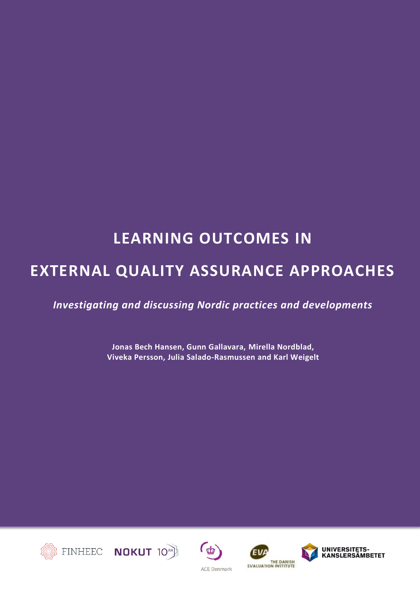# **LEARNING OUTCOMES IN**

# **EXTERNAL QUALITY ASSURANCE APPROACHES**

*Investigating and discussing Nordic practices and developments*

**Jonas Bech Hansen, Gunn Gallavara, Mirella Nordblad, Viveka Persson, Julia Salado-Rasmussen and Karl Weigelt**









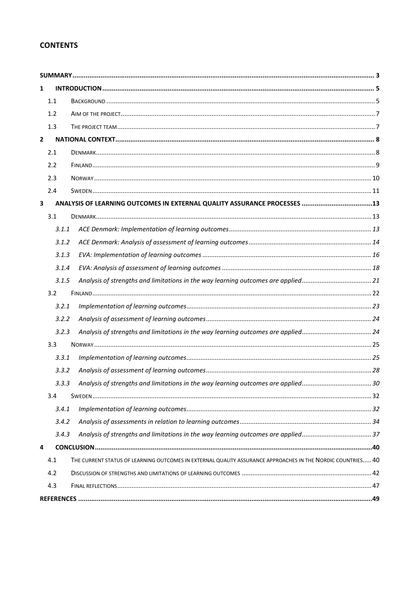### **CONTENTS**

| 1              |       |                                                                                                             |  |
|----------------|-------|-------------------------------------------------------------------------------------------------------------|--|
|                | 1.1   |                                                                                                             |  |
|                | 1.2   |                                                                                                             |  |
|                | 1.3   |                                                                                                             |  |
| $\overline{2}$ |       |                                                                                                             |  |
|                | 2.1   |                                                                                                             |  |
|                | 2.2   |                                                                                                             |  |
|                | 2.3   |                                                                                                             |  |
|                | 2.4   |                                                                                                             |  |
| 3              |       |                                                                                                             |  |
|                | 3.1   |                                                                                                             |  |
|                | 3.1.1 |                                                                                                             |  |
|                | 3.1.2 |                                                                                                             |  |
|                | 3.1.3 |                                                                                                             |  |
|                | 3.1.4 |                                                                                                             |  |
|                | 3.1.5 |                                                                                                             |  |
|                | 3.2   |                                                                                                             |  |
|                | 3.2.1 |                                                                                                             |  |
|                | 3.2.2 |                                                                                                             |  |
|                | 3.2.3 |                                                                                                             |  |
|                | 3.3   |                                                                                                             |  |
|                | 3.3.1 |                                                                                                             |  |
|                | 3.3.2 |                                                                                                             |  |
|                | 3.3.3 |                                                                                                             |  |
|                | 3.4   |                                                                                                             |  |
|                | 3.4.1 |                                                                                                             |  |
|                | 3.4.2 |                                                                                                             |  |
|                | 3.4.3 |                                                                                                             |  |
| 4              |       |                                                                                                             |  |
|                | 4.1   | THE CURRENT STATUS OF LEARNING OUTCOMES IN EXTERNAL QUALITY ASSURANCE APPROACHES IN THE NORDIC COUNTRIES 40 |  |
|                | 4.2   |                                                                                                             |  |
|                | 4.3   |                                                                                                             |  |
|                |       |                                                                                                             |  |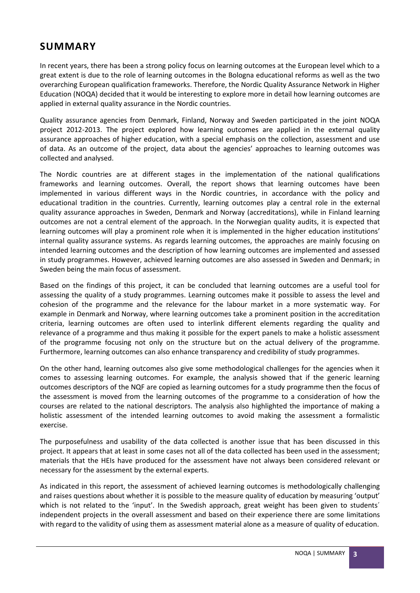# <span id="page-2-0"></span>**SUMMARY**

In recent years, there has been a strong policy focus on learning outcomes at the European level which to a great extent is due to the role of learning outcomes in the Bologna educational reforms as well as the two overarching European qualification frameworks. Therefore, the Nordic Quality Assurance Network in Higher Education (NOQA) decided that it would be interesting to explore more in detail how learning outcomes are applied in external quality assurance in the Nordic countries.

Quality assurance agencies from Denmark, Finland, Norway and Sweden participated in the joint NOQA project 2012-2013. The project explored how learning outcomes are applied in the external quality assurance approaches of higher education, with a special emphasis on the collection, assessment and use of data. As an outcome of the project, data about the agencies' approaches to learning outcomes was collected and analysed.

The Nordic countries are at different stages in the implementation of the national qualifications frameworks and learning outcomes. Overall, the report shows that learning outcomes have been implemented in various different ways in the Nordic countries, in accordance with the policy and educational tradition in the countries. Currently, learning outcomes play a central role in the external quality assurance approaches in Sweden, Denmark and Norway (accreditations), while in Finland learning outcomes are not a central element of the approach. In the Norwegian quality audits, it is expected that learning outcomes will play a prominent role when it is implemented in the higher education institutions' internal quality assurance systems. As regards learning outcomes, the approaches are mainly focusing on intended learning outcomes and the description of how learning outcomes are implemented and assessed in study programmes. However, achieved learning outcomes are also assessed in Sweden and Denmark; in Sweden being the main focus of assessment.

Based on the findings of this project, it can be concluded that learning outcomes are a useful tool for assessing the quality of a study programmes. Learning outcomes make it possible to assess the level and cohesion of the programme and the relevance for the labour market in a more systematic way. For example in Denmark and Norway, where learning outcomes take a prominent position in the accreditation criteria, learning outcomes are often used to interlink different elements regarding the quality and relevance of a programme and thus making it possible for the expert panels to make a holistic assessment of the programme focusing not only on the structure but on the actual delivery of the programme. Furthermore, learning outcomes can also enhance transparency and credibility of study programmes.

On the other hand, learning outcomes also give some methodological challenges for the agencies when it comes to assessing learning outcomes. For example, the analysis showed that if the generic learning outcomes descriptors of the NQF are copied as learning outcomes for a study programme then the focus of the assessment is moved from the learning outcomes of the programme to a consideration of how the courses are related to the national descriptors. The analysis also highlighted the importance of making a holistic assessment of the intended learning outcomes to avoid making the assessment a formalistic exercise.

The purposefulness and usability of the data collected is another issue that has been discussed in this project. It appears that at least in some cases not all of the data collected has been used in the assessment; materials that the HEIs have produced for the assessment have not always been considered relevant or necessary for the assessment by the external experts.

As indicated in this report, the assessment of achieved learning outcomes is methodologically challenging and raises questions about whether it is possible to the measure quality of education by measuring 'output' which is not related to the 'input'. In the Swedish approach, great weight has been given to students' independent projects in the overall assessment and based on their experience there are some limitations with regard to the validity of using them as assessment material alone as a measure of quality of education.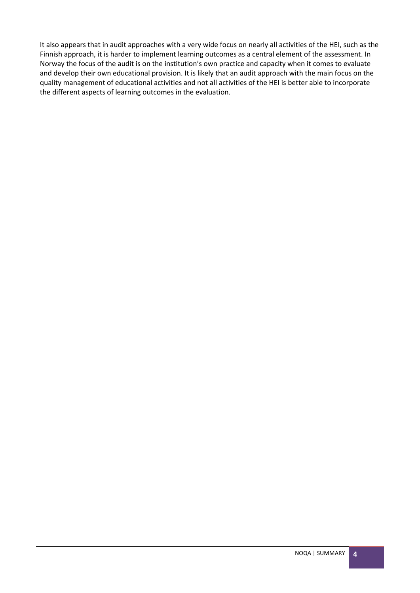It also appears that in audit approaches with a very wide focus on nearly all activities of the HEI, such as the Finnish approach, it is harder to implement learning outcomes as a central element of the assessment. In Norway the focus of the audit is on the institution's own practice and capacity when it comes to evaluate and develop their own educational provision. It is likely that an audit approach with the main focus on the quality management of educational activities and not all activities of the HEI is better able to incorporate the different aspects of learning outcomes in the evaluation.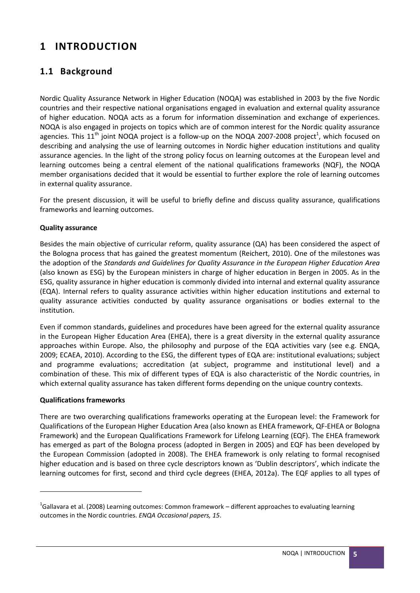# <span id="page-4-0"></span>**1 INTRODUCTION**

# <span id="page-4-1"></span>**1.1 Background**

Nordic Quality Assurance Network in Higher Education (NOQA) was established in 2003 by the five Nordic countries and their respective national organisations engaged in evaluation and external quality assurance of higher education. NOQA acts as a forum for information dissemination and exchange of experiences. NOQA is also engaged in projects on topics which are of common interest for the Nordic quality assurance agencies. This 11<sup>th</sup> joint NOQA project is a follow-up on the NOQA 2007-2008 project<sup>1</sup>, which focused on describing and analysing the use of learning outcomes in Nordic higher education institutions and quality assurance agencies. In the light of the strong policy focus on learning outcomes at the European level and learning outcomes being a central element of the national qualifications frameworks (NQF), the NOQA member organisations decided that it would be essential to further explore the role of learning outcomes in external quality assurance.

For the present discussion, it will be useful to briefly define and discuss quality assurance, qualifications frameworks and learning outcomes.

#### **Quality assurance**

Besides the main objective of curricular reform, quality assurance (QA) has been considered the aspect of the Bologna process that has gained the greatest momentum (Reichert, 2010). One of the milestones was the adoption of the *Standards and Guidelines for Quality Assurance in the European Higher Education Area*  (also known as ESG) by the European ministers in charge of higher education in Bergen in 2005. As in the ESG, quality assurance in higher education is commonly divided into internal and external quality assurance (EQA). Internal refers to quality assurance activities within higher education institutions and external to quality assurance activities conducted by quality assurance organisations or bodies external to the institution.

Even if common standards, guidelines and procedures have been agreed for the external quality assurance in the European Higher Education Area (EHEA), there is a great diversity in the external quality assurance approaches within Europe. Also, the philosophy and purpose of the EQA activities vary (see e.g. ENQA, 2009; ECAEA, 2010). According to the ESG, the different types of EQA are: institutional evaluations; subject and programme evaluations; accreditation (at subject, programme and institutional level) and a combination of these. This mix of different types of EQA is also characteristic of the Nordic countries, in which external quality assurance has taken different forms depending on the unique country contexts.

#### **Qualifications frameworks**

**.** 

There are two overarching qualifications frameworks operating at the European level: the Framework for Qualifications of the European Higher Education Area (also known as EHEA framework, QF-EHEA or Bologna Framework) and the European Qualifications Framework for Lifelong Learning (EQF). The EHEA framework has emerged as part of the Bologna process (adopted in Bergen in 2005) and EQF has been developed by the European Commission (adopted in 2008). The EHEA framework is only relating to formal recognised higher education and is based on three cycle descriptors known as 'Dublin descriptors', which indicate the learning outcomes for first, second and third cycle degrees (EHEA, 2012a). The EQF applies to all types of

 $^{1}$ Gallavara et al. (2008) Learning outcomes: Common framework – different approaches to evaluating learning outcomes in the Nordic countries. *ENQA Occasional papers, 15*.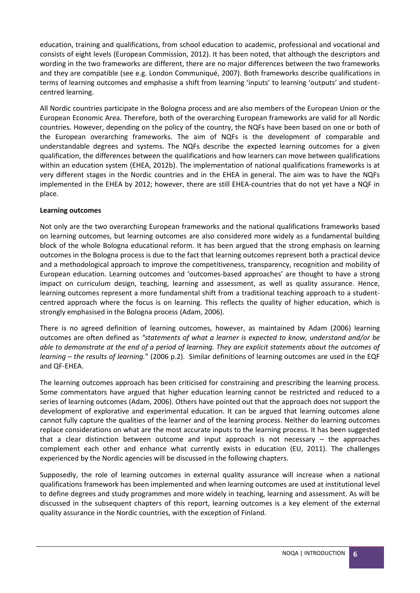education, training and qualifications, from school education to academic, professional and vocational and consists of eight levels (European Commission, 2012). It has been noted, that although the descriptors and wording in the two frameworks are different, there are no major differences between the two frameworks and they are compatible (see e.g. London Communiqué, 2007). Both frameworks describe qualifications in terms of learning outcomes and emphasise a shift from learning 'inputs' to learning 'outputs' and studentcentred learning.

All Nordic countries participate in the Bologna process and are also members of the European Union or the European Economic Area. Therefore, both of the overarching European frameworks are valid for all Nordic countries. However, depending on the policy of the country, the NQFs have been based on one or both of the European overarching frameworks. The aim of NQFs is the development of comparable and understandable degrees and systems. The NQFs describe the expected learning outcomes for a given qualification, the differences between the qualifications and how learners can move between qualifications within an education system (EHEA, 2012b). The implementation of national qualifications frameworks is at very different stages in the Nordic countries and in the EHEA in general. The aim was to have the NQFs implemented in the EHEA by 2012; however, there are still EHEA-countries that do not yet have a NQF in place.

#### **Learning outcomes**

Not only are the two overarching European frameworks and the national qualifications frameworks based on learning outcomes, but learning outcomes are also considered more widely as a fundamental building block of the whole Bologna educational reform. It has been argued that the strong emphasis on learning outcomes in the Bologna process is due to the fact that learning outcomes represent both a practical device and a methodological approach to improve the competitiveness, transparency, recognition and mobility of European education. Learning outcomes and 'outcomes-based approaches' are thought to have a strong impact on curriculum design, teaching, learning and assessment, as well as quality assurance. Hence, learning outcomes represent a more fundamental shift from a traditional teaching approach to a studentcentred approach where the focus is on learning. This reflects the quality of higher education, which is strongly emphasised in the Bologna process (Adam, 2006).

There is no agreed definition of learning outcomes, however, as maintained by Adam (2006) learning outcomes are often defined as *"statements of what a learner is expected to know, understand and/or be able to demonstrate at the end of a period of learning. They are explicit statements about the outcomes of learning – the results of learning.*" (2006 p.2). Similar definitions of learning outcomes are used in the EQF and QF-EHEA.

The learning outcomes approach has been criticised for constraining and prescribing the learning process. Some commentators have argued that higher education learning cannot be restricted and reduced to a series of learning outcomes (Adam, 2006). Others have pointed out that the approach does not support the development of explorative and experimental education. It can be argued that learning outcomes alone cannot fully capture the qualities of the learner and of the learning process. Neither do learning outcomes replace considerations on what are the most accurate inputs to the learning process. It has been suggested that a clear distinction between outcome and input approach is not necessary – the approaches complement each other and enhance what currently exists in education (EU, 2011). The challenges experienced by the Nordic agencies will be discussed in the following chapters.

Supposedly, the role of learning outcomes in external quality assurance will increase when a national qualifications framework has been implemented and when learning outcomes are used at institutional level to define degrees and study programmes and more widely in teaching, learning and assessment. As will be discussed in the subsequent chapters of this report, learning outcomes is a key element of the external quality assurance in the Nordic countries, with the exception of Finland.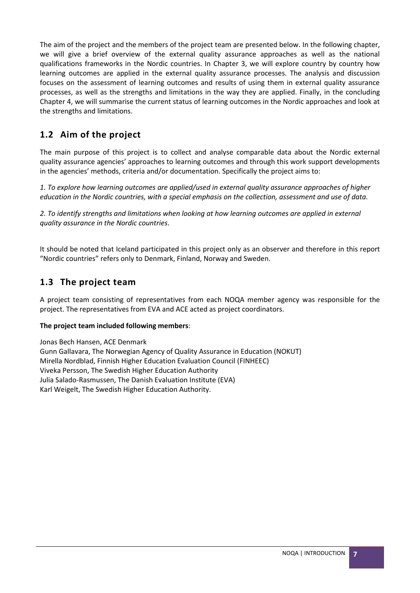The aim of the project and the members of the project team are presented below. In the following chapter, we will give a brief overview of the external quality assurance approaches as well as the national qualifications frameworks in the Nordic countries. In Chapter 3, we will explore country by country how learning outcomes are applied in the external quality assurance processes. The analysis and discussion focuses on the assessment of learning outcomes and results of using them in external quality assurance processes, as well as the strengths and limitations in the way they are applied. Finally, in the concluding Chapter 4, we will summarise the current status of learning outcomes in the Nordic approaches and look at the strengths and limitations.

# <span id="page-6-0"></span>**1.2 Aim of the project**

The main purpose of this project is to collect and analyse comparable data about the Nordic external quality assurance agencies' approaches to learning outcomes and through this work support developments in the agencies' methods, criteria and/or documentation. Specifically the project aims to:

*1. To explore how learning outcomes are applied/used in external quality assurance approaches of higher education in the Nordic countries, with a special emphasis on the collection, assessment and use of data.*

*2. To identify strengths and limitations when looking at how learning outcomes are applied in external quality assurance in the Nordic countries*.

It should be noted that Iceland participated in this project only as an observer and therefore in this report "Nordic countries" refers only to Denmark, Finland, Norway and Sweden.

# <span id="page-6-1"></span>**1.3 The project team**

A project team consisting of representatives from each NOQA member agency was responsible for the project. The representatives from EVA and ACE acted as project coordinators.

#### **The project team included following members**:

Jonas Bech Hansen, ACE Denmark Gunn Gallavara, The Norwegian Agency of Quality Assurance in Education (NOKUT) Mirella Nordblad, Finnish Higher Education Evaluation Council (FINHEEC) Viveka Persson, The Swedish Higher Education Authority Julia Salado-Rasmussen, The Danish Evaluation Institute (EVA) Karl Weigelt, The Swedish Higher Education Authority.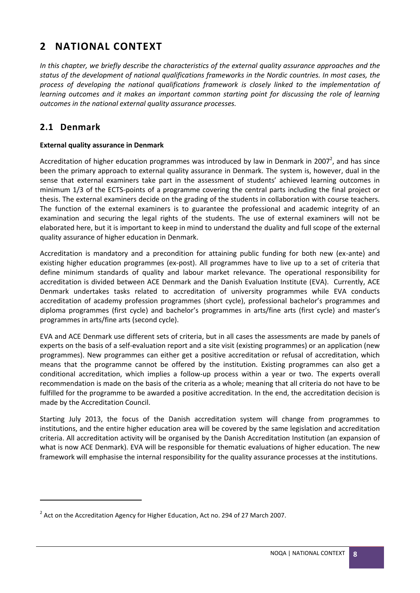# <span id="page-7-0"></span>**2 NATIONAL CONTEXT**

*In this chapter, we briefly describe the characteristics of the external quality assurance approaches and the status of the development of national qualifications frameworks in the Nordic countries. In most cases, the process of developing the national qualifications framework is closely linked to the implementation of learning outcomes and it makes an important common starting point for discussing the role of learning outcomes in the national external quality assurance processes.*

# <span id="page-7-1"></span>**2.1 Denmark**

**.** 

#### **External quality assurance in Denmark**

Accreditation of higher education programmes was introduced by law in Denmark in 2007<sup>2</sup>, and has since been the primary approach to external quality assurance in Denmark. The system is, however, dual in the sense that external examiners take part in the assessment of students' achieved learning outcomes in minimum 1/3 of the ECTS-points of a programme covering the central parts including the final project or thesis. The external examiners decide on the grading of the students in collaboration with course teachers. The function of the external examiners is to guarantee the professional and academic integrity of an examination and securing the legal rights of the students. The use of external examiners will not be elaborated here, but it is important to keep in mind to understand the duality and full scope of the external quality assurance of higher education in Denmark.

Accreditation is mandatory and a precondition for attaining public funding for both new (ex-ante) and existing higher education programmes (ex-post). All programmes have to live up to a set of criteria that define minimum standards of quality and labour market relevance. The operational responsibility for accreditation is divided between ACE Denmark and the Danish Evaluation Institute (EVA). Currently, ACE Denmark undertakes tasks related to accreditation of university programmes while EVA conducts accreditation of academy profession programmes (short cycle), professional bachelor's programmes and diploma programmes (first cycle) and bachelor's programmes in arts/fine arts (first cycle) and master's programmes in arts/fine arts (second cycle).

EVA and ACE Denmark use different sets of criteria, but in all cases the assessments are made by panels of experts on the basis of a self-evaluation report and a site visit (existing programmes) or an application (new programmes). New programmes can either get a positive accreditation or refusal of accreditation, which means that the programme cannot be offered by the institution. Existing programmes can also get a conditional accreditation, which implies a follow-up process within a year or two. The experts overall recommendation is made on the basis of the criteria as a whole; meaning that all criteria do not have to be fulfilled for the programme to be awarded a positive accreditation. In the end, the accreditation decision is made by the Accreditation Council.

Starting July 2013, the focus of the Danish accreditation system will change from programmes to institutions, and the entire higher education area will be covered by the same legislation and accreditation criteria. All accreditation activity will be organised by the Danish Accreditation Institution (an expansion of what is now ACE Denmark). EVA will be responsible for thematic evaluations of higher education. The new framework will emphasise the internal responsibility for the quality assurance processes at the institutions.

 $2$  Act on the Accreditation Agency for Higher Education, Act no. 294 of 27 March 2007.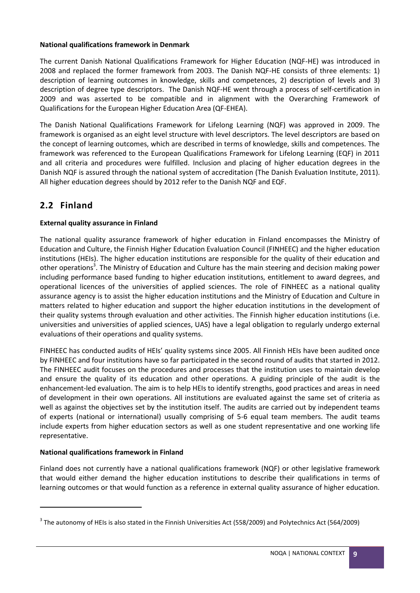#### **National qualifications framework in Denmark**

The current Danish National Qualifications Framework for Higher Education (NQF-HE) was introduced in 2008 and replaced the former framework from 2003. The Danish NQF-HE consists of three elements: 1) description of learning outcomes in knowledge, skills and competences, 2) description of levels and 3) description of degree type descriptors. The Danish NQF-HE went through a process of self-certification in 2009 and was asserted to be compatible and in alignment with the Overarching Framework of Qualifications for the European Higher Education Area (QF-EHEA).

The Danish National Qualifications Framework for Lifelong Learning (NQF) was approved in 2009. The framework is organised as an eight level structure with level descriptors. The level descriptors are based on the concept of learning outcomes, which are described in terms of knowledge, skills and competences. The framework was referenced to the European Qualifications Framework for Lifelong Learning (EQF) in 2011 and all criteria and procedures were fulfilled. Inclusion and placing of higher education degrees in the Danish NQF is assured through the national system of accreditation (The Danish Evaluation Institute, 2011). All higher education degrees should by 2012 refer to the Danish NQF and EQF.

# <span id="page-8-0"></span>**2.2 Finland**

#### **External quality assurance in Finland**

The national quality assurance framework of higher education in Finland encompasses the Ministry of Education and Culture, the Finnish Higher Education Evaluation Council (FINHEEC) and the higher education institutions (HEIs). The higher education institutions are responsible for the quality of their education and other operations<sup>3</sup>. The Ministry of Education and Culture has the main steering and decision making power including performance based funding to higher education institutions, entitlement to award degrees, and operational licences of the universities of applied sciences. The role of FINHEEC as a national quality assurance agency is to assist the higher education institutions and the Ministry of Education and Culture in matters related to higher education and support the higher education institutions in the development of their quality systems through evaluation and other activities. The Finnish higher education institutions (i.e. universities and universities of applied sciences, UAS) have a legal obligation to regularly undergo external evaluations of their operations and quality systems.

FINHEEC has conducted audits of HEIs' quality systems since 2005. All Finnish HEIs have been audited once by FINHEEC and four institutions have so far participated in the second round of audits that started in 2012. The FINHEEC audit focuses on the procedures and processes that the institution uses to maintain develop and ensure the quality of its education and other operations. A guiding principle of the audit is the enhancement-led evaluation. The aim is to help HEIs to identify strengths, good practices and areas in need of development in their own operations. All institutions are evaluated against the same set of criteria as well as against the objectives set by the institution itself. The audits are carried out by independent teams of experts (national or international) usually comprising of 5-6 equal team members. The audit teams include experts from higher education sectors as well as one student representative and one working life representative.

#### **National qualifications framework in Finland**

**.** 

Finland does not currently have a national qualifications framework (NQF) or other legislative framework that would either demand the higher education institutions to describe their qualifications in terms of learning outcomes or that would function as a reference in external quality assurance of higher education.

 $3$  The autonomy of HEIs is also stated in the Finnish Universities Act (558/2009) and Polytechnics Act (564/2009)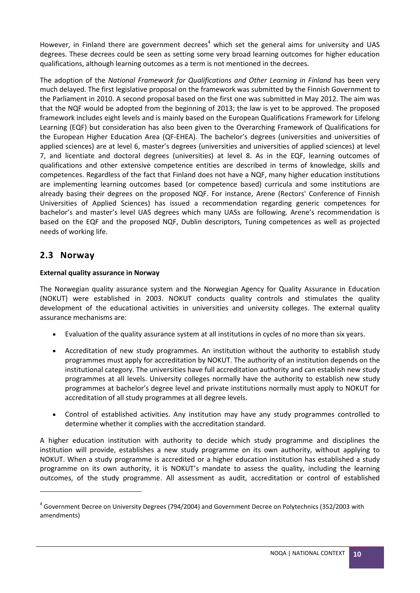However, in Finland there are government decrees<sup>4</sup> which set the general aims for university and UAS degrees. These decrees could be seen as setting some very broad learning outcomes for higher education qualifications, although learning outcomes as a term is not mentioned in the decrees.

The adoption of the *National Framework for Qualifications and Other Learning in Finland* has been very much delayed. The first legislative proposal on the framework was submitted by the Finnish Government to the Parliament in 2010. A second proposal based on the first one was submitted in May 2012. The aim was that the NQF would be adopted from the beginning of 2013; the law is yet to be approved. The proposed framework includes eight levels and is mainly based on the European Qualifications Framework for Lifelong Learning (EQF) but consideration has also been given to the Overarching Framework of Qualifications for the European Higher Education Area (QF-EHEA). The bachelor's degrees (universities and universities of applied sciences) are at level 6, master's degrees (universities and universities of applied sciences) at level 7, and licentiate and doctoral degrees (universities) at level 8. As in the EQF, learning outcomes of qualifications and other extensive competence entities are described in terms of knowledge, skills and competences. Regardless of the fact that Finland does not have a NQF, many higher education institutions are implementing learning outcomes based (or competence based) curricula and some institutions are already basing their degrees on the proposed NQF. For instance, Arene (Rectors' Conference of Finnish Universities of Applied Sciences) has issued a recommendation regarding generic competences for bachelor's and master's level UAS degrees which many UASs are following. Arene's recommendation is based on the EQF and the proposed NQF, Dublin descriptors, Tuning competences as well as projected needs of working life.

# <span id="page-9-0"></span>**2.3 Norway**

**.** 

#### **External quality assurance in Norway**

The Norwegian quality assurance system and the Norwegian Agency for Quality Assurance in Education (NOKUT) were established in 2003. NOKUT conducts quality controls and stimulates the quality development of the educational activities in universities and university colleges. The external quality assurance mechanisms are:

- Evaluation of the quality assurance system at all institutions in cycles of no more than six years.
- Accreditation of new study programmes. An institution without the authority to establish study programmes must apply for accreditation by NOKUT. The authority of an institution depends on the institutional category. The universities have full accreditation authority and can establish new study programmes at all levels. University colleges normally have the authority to establish new study programmes at bachelor's degree level and private institutions normally must apply to NOKUT for accreditation of all study programmes at all degree levels.
- Control of established activities. Any institution may have any study programmes controlled to determine whether it complies with the accreditation standard.

A higher education institution with authority to decide which study programme and disciplines the institution will provide, establishes a new study programme on its own authority, without applying to NOKUT. When a study programme is accredited or a higher education institution has established a study programme on its own authority, it is NOKUT's mandate to assess the quality, including the learning outcomes, of the study programme. All assessment as audit, accreditation or control of established

<sup>&</sup>lt;sup>4</sup> Government Decree on University Degrees (794/2004) and Government Decree on Polytechnics (352/2003 with amendments)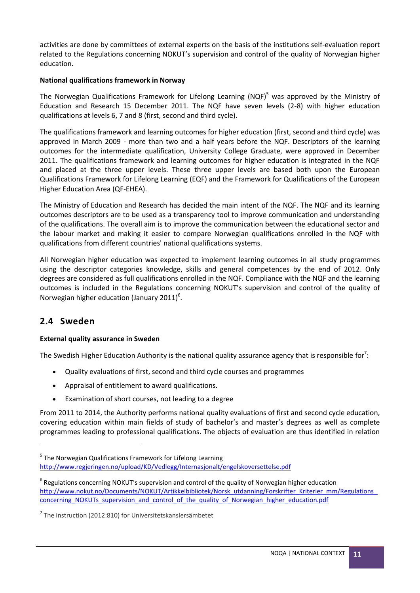activities are done by committees of external experts on the basis of the institutions self-evaluation report related to the Regulations concerning NOKUT's supervision and control of the quality of Norwegian higher education.

#### **National qualifications framework in Norway**

The Norwegian Qualifications Framework for Lifelong Learning (NQF)<sup>5</sup> was approved by the Ministry of Education and Research 15 December 2011. The NQF have seven levels (2-8) with higher education qualifications at levels 6, 7 and 8 (first, second and third cycle).

The qualifications framework and learning outcomes for higher education (first, second and third cycle) was approved in March 2009 - more than two and a half years before the NQF. Descriptors of the learning outcomes for the intermediate qualification, University College Graduate, were approved in December 2011. The qualifications framework and learning outcomes for higher education is integrated in the NQF and placed at the three upper levels. These three upper levels are based both upon the European Qualifications Framework for Lifelong Learning (EQF) and the Framework for Qualifications of the European Higher Education Area (QF-EHEA).

The Ministry of Education and Research has decided the main intent of the NQF. The NQF and its learning outcomes descriptors are to be used as a transparency tool to improve communication and understanding of the qualifications. The overall aim is to improve the communication between the educational sector and the labour market and making it easier to compare Norwegian qualifications enrolled in the NQF with qualifications from different countries' national qualifications systems.

All Norwegian higher education was expected to implement learning outcomes in all study programmes using the descriptor categories knowledge, skills and general competences by the end of 2012. Only degrees are considered as full qualifications enrolled in the NQF. Compliance with the NQF and the learning outcomes is included in the Regulations concerning NOKUT's supervision and control of the quality of Norwegian higher education (January 2011)<sup>6</sup>.

# <span id="page-10-0"></span>**2.4 Sweden**

**.** 

#### **External quality assurance in Sweden**

The Swedish Higher Education Authority is the national quality assurance agency that is responsible for<sup>7</sup>:

- Quality evaluations of first, second and third cycle courses and programmes
- Appraisal of entitlement to award qualifications.
- Examination of short courses, not leading to a degree

From 2011 to 2014, the Authority performs national quality evaluations of first and second cycle education, covering education within main fields of study of bachelor's and master's degrees as well as complete programmes leading to professional qualifications. The objects of evaluation are thus identified in relation

<sup>7</sup> The instruction (2012:810) for Universitetskanslersämbetet

<sup>&</sup>lt;sup>5</sup> The Norwegian Qualifications Framework for Lifelong Learning <http://www.regjeringen.no/upload/KD/Vedlegg/Internasjonalt/engelskoversettelse.pdf>

 $<sup>6</sup>$  Regulations concerning NOKUT's supervision and control of the quality of Norwegian higher education</sup> http://www.nokut.no/Documents/NOKUT/Artikkelbibliotek/Norsk\_utdanning/Forskrifter\_Kriterier\_mm/Regulations [concerning\\_NOKUTs\\_supervision\\_and\\_control\\_of\\_the\\_quality\\_of\\_Norwegian\\_higher\\_education.pdf](http://www.nokut.no/Documents/NOKUT/Artikkelbibliotek/Norsk_utdanning/Forskrifter_Kriterier_mm/Regulations_concerning_NOKUTs_supervision_and_control_of_the_quality_of_Norwegian_higher_education.pdf)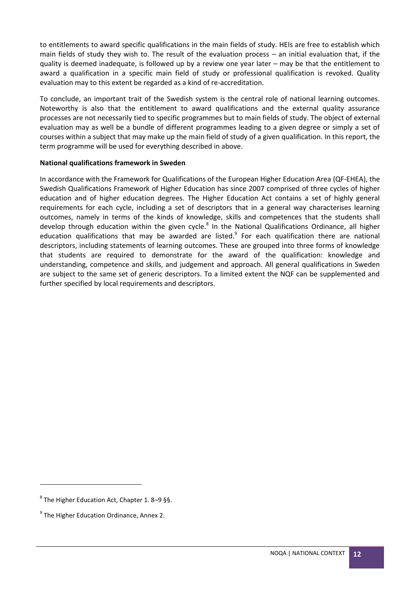to entitlements to award specific qualifications in the main fields of study. HEIs are free to establish which main fields of study they wish to. The result of the evaluation process – an initial evaluation that, if the quality is deemed inadequate, is followed up by a review one year later – may be that the entitlement to award a qualification in a specific main field of study or professional qualification is revoked. Quality evaluation may to this extent be regarded as a kind of re-accreditation.

To conclude, an important trait of the Swedish system is the central role of national learning outcomes. Noteworthy is also that the entitlement to award qualifications and the external quality assurance processes are not necessarily tied to specific programmes but to main fields of study. The object of external evaluation may as well be a bundle of different programmes leading to a given degree or simply a set of courses within a subject that may make up the main field of study of a given qualification. In this report, the term programme will be used for everything described in above.

#### **National qualifications framework in Sweden**

In accordance with the Framework for Qualifications of the European Higher Education Area (QF-EHEA), the Swedish Qualifications Framework of Higher Education has since 2007 comprised of three cycles of higher education and of higher education degrees. The Higher Education Act contains a set of highly general requirements for each cycle, including a set of descriptors that in a general way characterises learning outcomes, namely in terms of the kinds of knowledge, skills and competences that the students shall develop through education within the given cycle.<sup>8</sup> In the National Qualifications Ordinance, all higher education qualifications that may be awarded are listed.<sup>9</sup> For each qualification there are national descriptors, including statements of learning outcomes. These are grouped into three forms of knowledge that students are required to demonstrate for the award of the qualification: knowledge and understanding, competence and skills, and judgement and approach. All general qualifications in Sweden are subject to the same set of generic descriptors. To a limited extent the NQF can be supplemented and further specified by local requirements and descriptors.

**.** 

 $^8$  The Higher Education Act, Chapter 1. 8–9 §§.

<sup>&</sup>lt;sup>9</sup> The Higher Education Ordinance, Annex 2.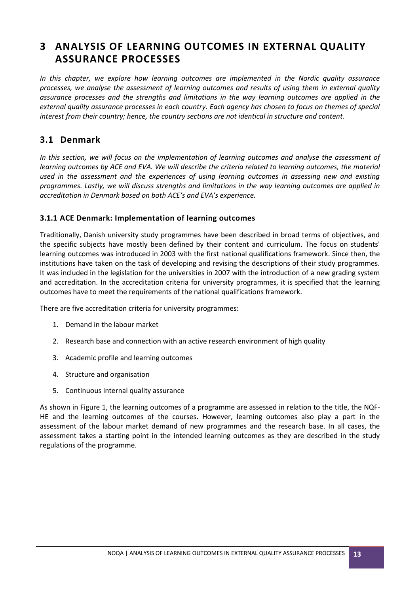# <span id="page-12-0"></span>**3 ANALYSIS OF LEARNING OUTCOMES IN EXTERNAL QUALITY ASSURANCE PROCESSES**

*In this chapter, we explore how learning outcomes are implemented in the Nordic quality assurance processes, we analyse the assessment of learning outcomes and results of using them in external quality assurance processes and the strengths and limitations in the way learning outcomes are applied in the external quality assurance processes in each country. Each agency has chosen to focus on themes of special interest from their country; hence, the country sections are not identical in structure and content.* 

### <span id="page-12-1"></span>**3.1 Denmark**

*In this section, we will focus on the implementation of learning outcomes and analyse the assessment of learning outcomes by ACE and EVA. We will describe the criteria related to learning outcomes, the material used in the assessment and the experiences of using learning outcomes in assessing new and existing programmes. Lastly, we will discuss strengths and limitations in the way learning outcomes are applied in accreditation in Denmark based on both ACE's and EVA's experience.*

#### <span id="page-12-2"></span>**3.1.1 ACE Denmark: Implementation of learning outcomes**

Traditionally, Danish university study programmes have been described in broad terms of objectives, and the specific subjects have mostly been defined by their content and curriculum. The focus on students' learning outcomes was introduced in 2003 with the first national qualifications framework. Since then, the institutions have taken on the task of developing and revising the descriptions of their study programmes. It was included in the legislation for the universities in 2007 with the introduction of a new grading system and accreditation. In the accreditation criteria for university programmes, it is specified that the learning outcomes have to meet the requirements of the national qualifications framework.

There are five accreditation criteria for university programmes:

- 1. Demand in the labour market
- 2. Research base and connection with an active research environment of high quality
- 3. Academic profile and learning outcomes
- 4. Structure and organisation
- 5. Continuous internal quality assurance

As shown in Figure 1, the learning outcomes of a programme are assessed in relation to the title, the NQF-HE and the learning outcomes of the courses. However, learning outcomes also play a part in the assessment of the labour market demand of new programmes and the research base. In all cases, the assessment takes a starting point in the intended learning outcomes as they are described in the study regulations of the programme.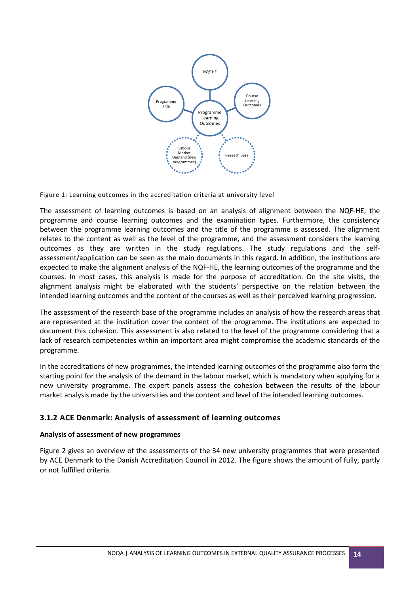

Figure 1: Learning outcomes in the accreditation criteria at university level

The assessment of learning outcomes is based on an analysis of alignment between the NQF-HE, the programme and course learning outcomes and the examination types. Furthermore, the consistency between the programme learning outcomes and the title of the programme is assessed. The alignment relates to the content as well as the level of the programme, and the assessment considers the learning outcomes as they are written in the study regulations. The study regulations and the selfassessment/application can be seen as the main documents in this regard. In addition, the institutions are expected to make the alignment analysis of the NQF-HE, the learning outcomes of the programme and the courses. In most cases, this analysis is made for the purpose of accreditation. On the site visits, the alignment analysis might be elaborated with the students' perspective on the relation between the intended learning outcomes and the content of the courses as well as their perceived learning progression.

The assessment of the research base of the programme includes an analysis of how the research areas that are represented at the institution cover the content of the programme. The institutions are expected to document this cohesion. This assessment is also related to the level of the programme considering that a lack of research competencies within an important area might compromise the academic standards of the programme.

In the accreditations of new programmes, the intended learning outcomes of the programme also form the starting point for the analysis of the demand in the labour market, which is mandatory when applying for a new university programme. The expert panels assess the cohesion between the results of the labour market analysis made by the universities and the content and level of the intended learning outcomes.

#### <span id="page-13-0"></span>**3.1.2 ACE Denmark: Analysis of assessment of learning outcomes**

#### **Analysis of assessment of new programmes**

Figure 2 gives an overview of the assessments of the 34 new university programmes that were presented by ACE Denmark to the Danish Accreditation Council in 2012. The figure shows the amount of fully, partly or not fulfilled criteria.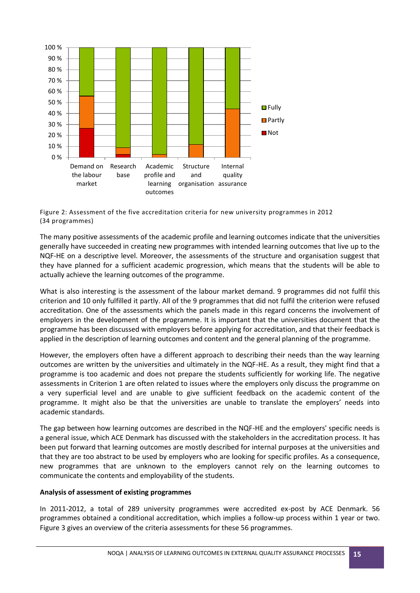

Figure 2: Assessment of the five accreditation criteria for new university programmes in 2012 (34 programmes)

The many positive assessments of the academic profile and learning outcomes indicate that the universities generally have succeeded in creating new programmes with intended learning outcomes that live up to the NQF-HE on a descriptive level. Moreover, the assessments of the structure and organisation suggest that they have planned for a sufficient academic progression, which means that the students will be able to actually achieve the learning outcomes of the programme.

What is also interesting is the assessment of the labour market demand. 9 programmes did not fulfil this criterion and 10 only fulfilled it partly. All of the 9 programmes that did not fulfil the criterion were refused accreditation. One of the assessments which the panels made in this regard concerns the involvement of employers in the development of the programme. It is important that the universities document that the programme has been discussed with employers before applying for accreditation, and that their feedback is applied in the description of learning outcomes and content and the general planning of the programme.

However, the employers often have a different approach to describing their needs than the way learning outcomes are written by the universities and ultimately in the NQF-HE. As a result, they might find that a programme is too academic and does not prepare the students sufficiently for working life. The negative assessments in Criterion 1 are often related to issues where the employers only discuss the programme on a very superficial level and are unable to give sufficient feedback on the academic content of the programme. It might also be that the universities are unable to translate the employers' needs into academic standards.

The gap between how learning outcomes are described in the NQF-HE and the employers' specific needs is a general issue, which ACE Denmark has discussed with the stakeholders in the accreditation process. It has been put forward that learning outcomes are mostly described for internal purposes at the universities and that they are too abstract to be used by employers who are looking for specific profiles. As a consequence, new programmes that are unknown to the employers cannot rely on the learning outcomes to communicate the contents and employability of the students.

#### **Analysis of assessment of existing programmes**

In 2011-2012, a total of 289 university programmes were accredited ex-post by ACE Denmark. 56 programmes obtained a conditional accreditation, which implies a follow-up process within 1 year or two. Figure 3 gives an overview of the criteria assessments for these 56 programmes.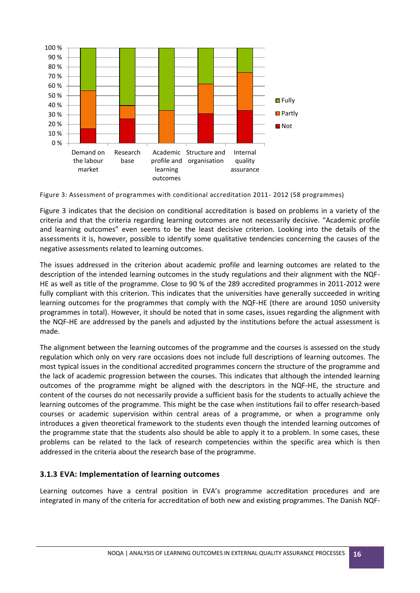

Figure 3: Assessment of programmes with conditional accreditation 2011- 2012 (58 programmes)

Figure 3 indicates that the decision on conditional accreditation is based on problems in a variety of the criteria and that the criteria regarding learning outcomes are not necessarily decisive. "Academic profile and learning outcomes" even seems to be the least decisive criterion. Looking into the details of the assessments it is, however, possible to identify some qualitative tendencies concerning the causes of the negative assessments related to learning outcomes.

The issues addressed in the criterion about academic profile and learning outcomes are related to the description of the intended learning outcomes in the study regulations and their alignment with the NQF-HE as well as title of the programme. Close to 90 % of the 289 accredited programmes in 2011-2012 were fully compliant with this criterion. This indicates that the universities have generally succeeded in writing learning outcomes for the programmes that comply with the NQF-HE (there are around 1050 university programmes in total). However, it should be noted that in some cases, issues regarding the alignment with the NQF-HE are addressed by the panels and adjusted by the institutions before the actual assessment is made.

The alignment between the learning outcomes of the programme and the courses is assessed on the study regulation which only on very rare occasions does not include full descriptions of learning outcomes. The most typical issues in the conditional accredited programmes concern the structure of the programme and the lack of academic progression between the courses. This indicates that although the intended learning outcomes of the programme might be aligned with the descriptors in the NQF-HE, the structure and content of the courses do not necessarily provide a sufficient basis for the students to actually achieve the learning outcomes of the programme. This might be the case when institutions fail to offer research-based courses or academic supervision within central areas of a programme, or when a programme only introduces a given theoretical framework to the students even though the intended learning outcomes of the programme state that the students also should be able to apply it to a problem. In some cases, these problems can be related to the lack of research competencies within the specific area which is then addressed in the criteria about the research base of the programme.

#### <span id="page-15-0"></span>**3.1.3 EVA: Implementation of learning outcomes**

Learning outcomes have a central position in EVA's programme accreditation procedures and are integrated in many of the criteria for accreditation of both new and existing programmes. The Danish NQF-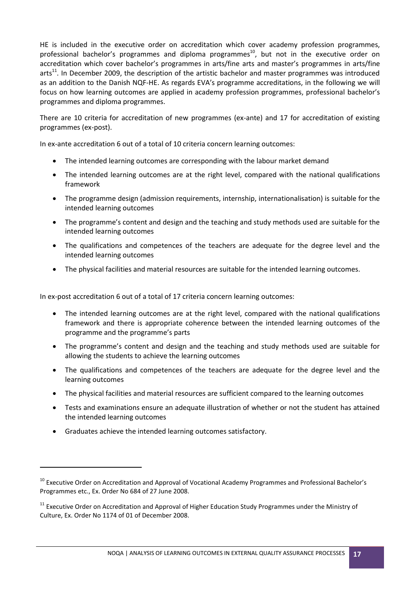HE is included in the executive order on accreditation which cover academy profession programmes, professional bachelor's programmes and diploma programmes<sup>10</sup>, but not in the executive order on accreditation which cover bachelor's programmes in arts/fine arts and master's programmes in arts/fine  $arts<sup>11</sup>$ . In December 2009, the description of the artistic bachelor and master programmes was introduced as an addition to the Danish NQF-HE. As regards EVA's programme accreditations, in the following we will focus on how learning outcomes are applied in academy profession programmes, professional bachelor's programmes and diploma programmes.

There are 10 criteria for accreditation of new programmes (ex-ante) and 17 for accreditation of existing programmes (ex-post).

In ex-ante accreditation 6 out of a total of 10 criteria concern learning outcomes:

- The intended learning outcomes are corresponding with the labour market demand
- The intended learning outcomes are at the right level, compared with the national qualifications framework
- The programme design (admission requirements, internship, internationalisation) is suitable for the intended learning outcomes
- The programme's content and design and the teaching and study methods used are suitable for the intended learning outcomes
- The qualifications and competences of the teachers are adequate for the degree level and the intended learning outcomes
- The physical facilities and material resources are suitable for the intended learning outcomes.

In ex-post accreditation 6 out of a total of 17 criteria concern learning outcomes:

- The intended learning outcomes are at the right level, compared with the national qualifications framework and there is appropriate coherence between the intended learning outcomes of the programme and the programme's parts
- The programme's content and design and the teaching and study methods used are suitable for allowing the students to achieve the learning outcomes
- The qualifications and competences of the teachers are adequate for the degree level and the learning outcomes
- The physical facilities and material resources are sufficient compared to the learning outcomes
- Tests and examinations ensure an adequate illustration of whether or not the student has attained the intended learning outcomes
- Graduates achieve the intended learning outcomes satisfactory.

**.** 

<sup>&</sup>lt;sup>10</sup> Executive Order on Accreditation and Approval of Vocational Academy Programmes and Professional Bachelor's Programmes etc., Ex. Order No 684 of 27 June 2008.

<sup>&</sup>lt;sup>11</sup> Executive Order on Accreditation and Approval of Higher Education Study Programmes under the Ministry of Culture, Ex. Order No 1174 of 01 of December 2008.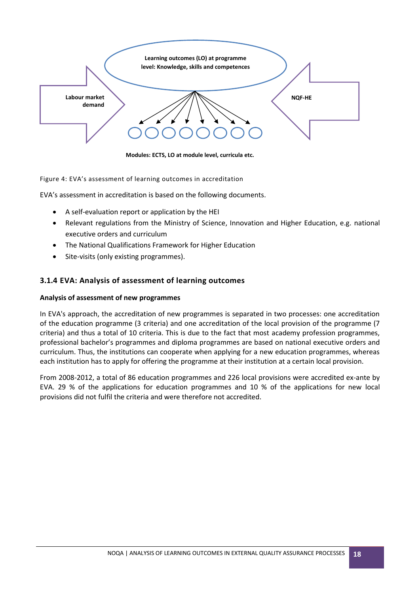

**Modules: ECTS, LO at module level, curricula etc.**

Figure 4: EVA's assessment of learning outcomes in accreditation

EVA's assessment in accreditation is based on the following documents.

- A self-evaluation report or application by the HEI
- Relevant regulations from the Ministry of Science, Innovation and Higher Education, e.g. national executive orders and curriculum
- The National Qualifications Framework for Higher Education
- Site-visits (only existing programmes).

#### <span id="page-17-0"></span>**3.1.4 EVA: Analysis of assessment of learning outcomes**

#### **Analysis of assessment of new programmes**

In EVA's approach, the accreditation of new programmes is separated in two processes: one accreditation of the education programme (3 criteria) and one accreditation of the local provision of the programme (7 criteria) and thus a total of 10 criteria. This is due to the fact that most academy profession programmes, professional bachelor's programmes and diploma programmes are based on national executive orders and curriculum. Thus, the institutions can cooperate when applying for a new education programmes, whereas each institution has to apply for offering the programme at their institution at a certain local provision.

From 2008-2012, a total of 86 education programmes and 226 local provisions were accredited ex-ante by EVA. 29 % of the applications for education programmes and 10 % of the applications for new local provisions did not fulfil the criteria and were therefore not accredited.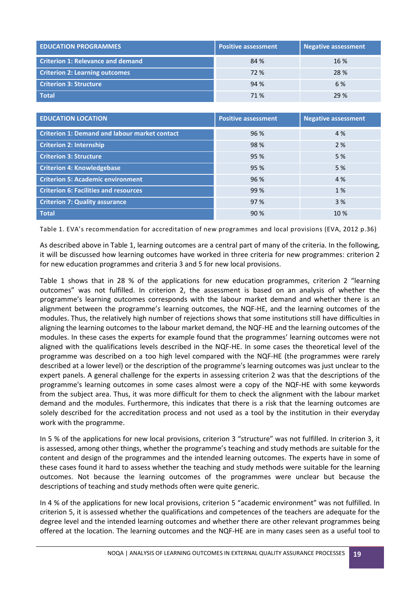| <b>EDUCATION PROGRAMMES</b>              | <b>Positive assessment</b> | <b>Negative assessment</b> |
|------------------------------------------|----------------------------|----------------------------|
| <b>Criterion 1: Relevance and demand</b> | 84 %                       | 16 %                       |
| <b>Criterion 2: Learning outcomes</b>    | 72 %                       | 28 %                       |
| <b>Criterion 3: Structure</b>            | 94 %                       | 6 %                        |
| Total                                    | 71 %                       | 29 %                       |

| <b>EDUCATION LOCATION</b>                            | <b>Positive assessment</b> | <b>Negative assessment</b> |
|------------------------------------------------------|----------------------------|----------------------------|
| <b>Criterion 1: Demand and labour market contact</b> | 96 %                       | 4 %                        |
| <b>Criterion 2: Internship</b>                       | 98 %                       | 2%                         |
| <b>Criterion 3: Structure</b>                        | 95 %                       | 5 %                        |
| <b>Criterion 4: Knowledgebase</b>                    | 95 %                       | 5 %                        |
| <b>Criterion 5: Academic environment</b>             | 96 %                       | 4 %                        |
| <b>Criterion 6: Facilities and resources</b>         | 99 %                       | 1 %                        |
| <b>Criterion 7: Quality assurance</b>                | 97 %                       | 3 %                        |
| <b>Total</b>                                         | 90%                        | 10 %                       |

Table 1. EVA's recommendation for accreditation of new programmes and local provisions (EVA, 2012 p.36)

As described above in Table 1, learning outcomes are a central part of many of the criteria. In the following, it will be discussed how learning outcomes have worked in three criteria for new programmes: criterion 2 for new education programmes and criteria 3 and 5 for new local provisions.

Table 1 shows that in 28 % of the applications for new education programmes, criterion 2 "learning outcomes" was not fulfilled. In criterion 2, the assessment is based on an analysis of whether the programme's learning outcomes corresponds with the labour market demand and whether there is an alignment between the programme's learning outcomes, the NQF-HE, and the learning outcomes of the modules. Thus, the relatively high number of rejections shows that some institutions still have difficulties in aligning the learning outcomes to the labour market demand, the NQF-HE and the learning outcomes of the modules. In these cases the experts for example found that the programmes' learning outcomes were not aligned with the qualifications levels described in the NQF-HE. In some cases the theoretical level of the programme was described on a too high level compared with the NQF-HE (the programmes were rarely described at a lower level) or the description of the programme's learning outcomes was just unclear to the expert panels. A general challenge for the experts in assessing criterion 2 was that the descriptions of the programme's learning outcomes in some cases almost were a copy of the NQF-HE with some keywords from the subject area. Thus, it was more difficult for them to check the alignment with the labour market demand and the modules. Furthermore, this indicates that there is a risk that the learning outcomes are solely described for the accreditation process and not used as a tool by the institution in their everyday work with the programme.

In 5 % of the applications for new local provisions, criterion 3 "structure" was not fulfilled. In criterion 3, it is assessed, among other things, whether the programme's teaching and study methods are suitable for the content and design of the programmes and the intended learning outcomes. The experts have in some of these cases found it hard to assess whether the teaching and study methods were suitable for the learning outcomes. Not because the learning outcomes of the programmes were unclear but because the descriptions of teaching and study methods often were quite generic.

In 4 % of the applications for new local provisions, criterion 5 "academic environment" was not fulfilled. In criterion 5, it is assessed whether the qualifications and competences of the teachers are adequate for the degree level and the intended learning outcomes and whether there are other relevant programmes being offered at the location. The learning outcomes and the NQF-HE are in many cases seen as a useful tool to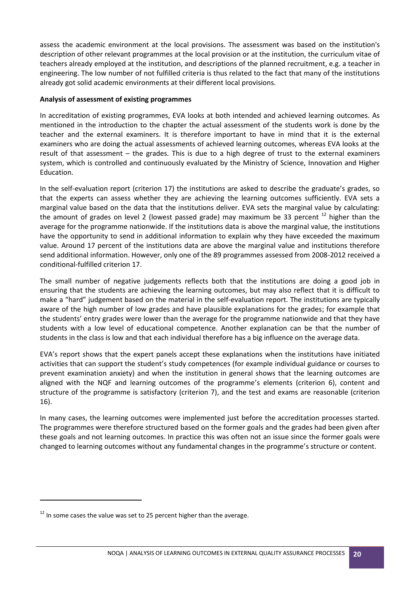assess the academic environment at the local provisions. The assessment was based on the institution's description of other relevant programmes at the local provision or at the institution, the curriculum vitae of teachers already employed at the institution, and descriptions of the planned recruitment, e.g. a teacher in engineering. The low number of not fulfilled criteria is thus related to the fact that many of the institutions already got solid academic environments at their different local provisions.

#### **Analysis of assessment of existing programmes**

In accreditation of existing programmes, EVA looks at both intended and achieved learning outcomes. As mentioned in the introduction to the chapter the actual assessment of the students work is done by the teacher and the external examiners. It is therefore important to have in mind that it is the external examiners who are doing the actual assessments of achieved learning outcomes, whereas EVA looks at the result of that assessment – the grades. This is due to a high degree of trust to the external examiners system, which is controlled and continuously evaluated by the Ministry of Science, Innovation and Higher Education.

In the self-evaluation report (criterion 17) the institutions are asked to describe the graduate's grades, so that the experts can assess whether they are achieving the learning outcomes sufficiently. EVA sets a marginal value based on the data that the institutions deliver. EVA sets the marginal value by calculating: the amount of grades on level 2 (lowest passed grade) may maximum be 33 percent <sup>12</sup> higher than the average for the programme nationwide. If the institutions data is above the marginal value, the institutions have the opportunity to send in additional information to explain why they have exceeded the maximum value. Around 17 percent of the institutions data are above the marginal value and institutions therefore send additional information. However, only one of the 89 programmes assessed from 2008-2012 received a conditional-fulfilled criterion 17.

The small number of negative judgements reflects both that the institutions are doing a good job in ensuring that the students are achieving the learning outcomes, but may also reflect that it is difficult to make a "hard" judgement based on the material in the self-evaluation report. The institutions are typically aware of the high number of low grades and have plausible explanations for the grades; for example that the students' entry grades were lower than the average for the programme nationwide and that they have students with a low level of educational competence. Another explanation can be that the number of students in the class is low and that each individual therefore has a big influence on the average data.

EVA's report shows that the expert panels accept these explanations when the institutions have initiated activities that can support the student's study competences (for example individual guidance or courses to prevent examination anxiety) and when the institution in general shows that the learning outcomes are aligned with the NQF and learning outcomes of the programme's elements (criterion 6), content and structure of the programme is satisfactory (criterion 7), and the test and exams are reasonable (criterion 16).

In many cases, the learning outcomes were implemented just before the accreditation processes started. The programmes were therefore structured based on the former goals and the grades had been given after these goals and not learning outcomes. In practice this was often not an issue since the former goals were changed to learning outcomes without any fundamental changes in the programme's structure or content.

**.** 

 $12$  In some cases the value was set to 25 percent higher than the average.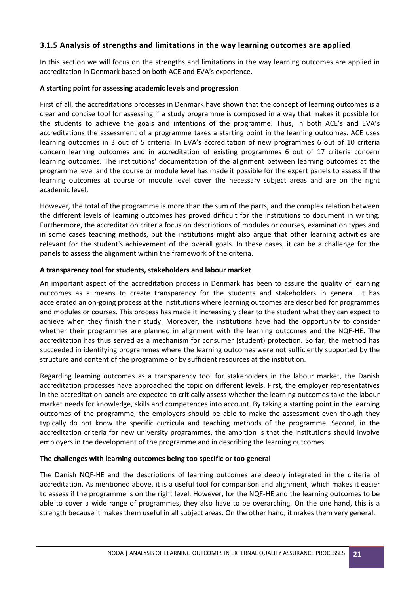#### <span id="page-20-0"></span>**3.1.5 Analysis of strengths and limitations in the way learning outcomes are applied**

In this section we will focus on the strengths and limitations in the way learning outcomes are applied in accreditation in Denmark based on both ACE and EVA's experience.

#### **A starting point for assessing academic levels and progression**

First of all, the accreditations processes in Denmark have shown that the concept of learning outcomes is a clear and concise tool for assessing if a study programme is composed in a way that makes it possible for the students to achieve the goals and intentions of the programme. Thus, in both ACE's and EVA's accreditations the assessment of a programme takes a starting point in the learning outcomes. ACE uses learning outcomes in 3 out of 5 criteria. In EVA's accreditation of new programmes 6 out of 10 criteria concern learning outcomes and in accreditation of existing programmes 6 out of 17 criteria concern learning outcomes. The institutions' documentation of the alignment between learning outcomes at the programme level and the course or module level has made it possible for the expert panels to assess if the learning outcomes at course or module level cover the necessary subject areas and are on the right academic level.

However, the total of the programme is more than the sum of the parts, and the complex relation between the different levels of learning outcomes has proved difficult for the institutions to document in writing. Furthermore, the accreditation criteria focus on descriptions of modules or courses, examination types and in some cases teaching methods, but the institutions might also argue that other learning activities are relevant for the student's achievement of the overall goals. In these cases, it can be a challenge for the panels to assess the alignment within the framework of the criteria.

#### **A transparency tool for students, stakeholders and labour market**

An important aspect of the accreditation process in Denmark has been to assure the quality of learning outcomes as a means to create transparency for the students and stakeholders in general. It has accelerated an on-going process at the institutions where learning outcomes are described for programmes and modules or courses. This process has made it increasingly clear to the student what they can expect to achieve when they finish their study. Moreover, the institutions have had the opportunity to consider whether their programmes are planned in alignment with the learning outcomes and the NQF-HE. The accreditation has thus served as a mechanism for consumer (student) protection. So far, the method has succeeded in identifying programmes where the learning outcomes were not sufficiently supported by the structure and content of the programme or by sufficient resources at the institution.

Regarding learning outcomes as a transparency tool for stakeholders in the labour market, the Danish accreditation processes have approached the topic on different levels. First, the employer representatives in the accreditation panels are expected to critically assess whether the learning outcomes take the labour market needs for knowledge, skills and competences into account. By taking a starting point in the learning outcomes of the programme, the employers should be able to make the assessment even though they typically do not know the specific curricula and teaching methods of the programme. Second, in the accreditation criteria for new university programmes, the ambition is that the institutions should involve employers in the development of the programme and in describing the learning outcomes.

#### **The challenges with learning outcomes being too specific or too general**

The Danish NQF-HE and the descriptions of learning outcomes are deeply integrated in the criteria of accreditation. As mentioned above, it is a useful tool for comparison and alignment, which makes it easier to assess if the programme is on the right level. However, for the NQF-HE and the learning outcomes to be able to cover a wide range of programmes, they also have to be overarching. On the one hand, this is a strength because it makes them useful in all subject areas. On the other hand, it makes them very general.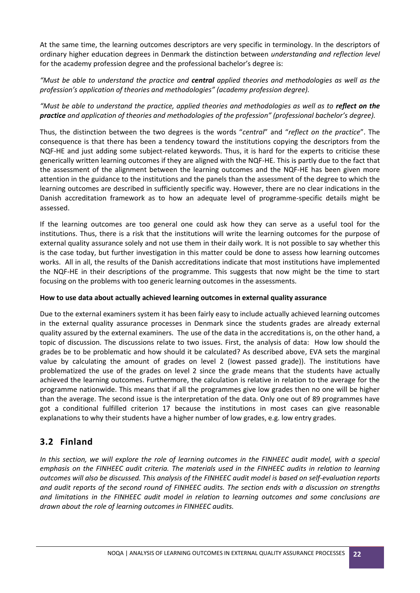At the same time, the learning outcomes descriptors are very specific in terminology. In the descriptors of ordinary higher education degrees in Denmark the distinction between *understanding and reflection level* for the academy profession degree and the professional bachelor's degree is:

*"Must be able to understand the practice and central applied theories and methodologies as well as the profession's application of theories and methodologies" (academy profession degree).*

*"Must be able to understand the practice, applied theories and methodologies as well as to reflect on the practice and application of theories and methodologies of the profession" (professional bachelor's degree).*

Thus, the distinction between the two degrees is the words "*central*" and "*reflect on the practice*". The consequence is that there has been a tendency toward the institutions copying the descriptors from the NQF-HE and just adding some subject-related keywords. Thus, it is hard for the experts to criticise these generically written learning outcomes if they are aligned with the NQF-HE. This is partly due to the fact that the assessment of the alignment between the learning outcomes and the NQF-HE has been given more attention in the guidance to the institutions and the panels than the assessment of the degree to which the learning outcomes are described in sufficiently specific way. However, there are no clear indications in the Danish accreditation framework as to how an adequate level of programme-specific details might be assessed.

If the learning outcomes are too general one could ask how they can serve as a useful tool for the institutions. Thus, there is a risk that the institutions will write the learning outcomes for the purpose of external quality assurance solely and not use them in their daily work. It is not possible to say whether this is the case today, but further investigation in this matter could be done to assess how learning outcomes works. All in all, the results of the Danish accreditations indicate that most institutions have implemented the NQF-HE in their descriptions of the programme. This suggests that now might be the time to start focusing on the problems with too generic learning outcomes in the assessments.

#### **How to use data about actually achieved learning outcomes in external quality assurance**

Due to the external examiners system it has been fairly easy to include actually achieved learning outcomes in the external quality assurance processes in Denmark since the students grades are already external quality assured by the external examiners. The use of the data in the accreditations is, on the other hand, a topic of discussion. The discussions relate to two issues. First, the analysis of data: How low should the grades be to be problematic and how should it be calculated? As described above, EVA sets the marginal value by calculating the amount of grades on level 2 (lowest passed grade)). The institutions have problematized the use of the grades on level 2 since the grade means that the students have actually achieved the learning outcomes. Furthermore, the calculation is relative in relation to the average for the programme nationwide. This means that if all the programmes give low grades then no one will be higher than the average. The second issue is the interpretation of the data. Only one out of 89 programmes have got a conditional fulfilled criterion 17 because the institutions in most cases can give reasonable explanations to why their students have a higher number of low grades, e.g. low entry grades.

### <span id="page-21-0"></span>**3.2 Finland**

*In this section, we will explore the role of learning outcomes in the FINHEEC audit model, with a special emphasis on the FINHEEC audit criteria. The materials used in the FINHEEC audits in relation to learning outcomes will also be discussed. This analysis of the FINHEEC audit model is based on self-evaluation reports and audit reports of the second round of FINHEEC audits. The section ends with a discussion on strengths and limitations in the FINHEEC audit model in relation to learning outcomes and some conclusions are drawn about the role of learning outcomes in FINHEEC audits.*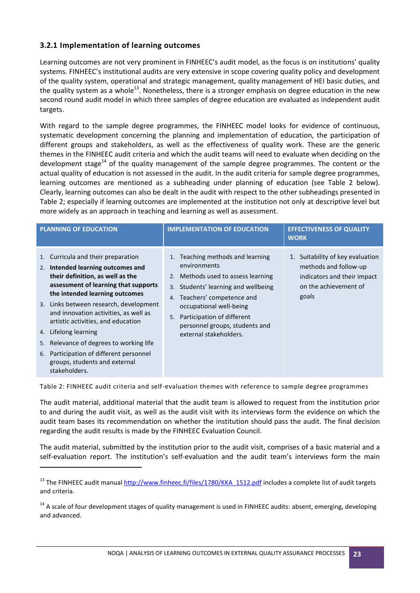#### <span id="page-22-0"></span>**3.2.1 Implementation of learning outcomes**

**.** 

Learning outcomes are not very prominent in FINHEEC's audit model, as the focus is on institutions' quality systems. FINHEEC's institutional audits are very extensive in scope covering quality policy and development of the quality system, operational and strategic management, quality management of HEI basic duties, and the quality system as a whole<sup>13</sup>. Nonetheless, there is a stronger emphasis on degree education in the new second round audit model in which three samples of degree education are evaluated as independent audit targets.

With regard to the sample degree programmes, the FINHEEC model looks for evidence of continuous, systematic development concerning the planning and implementation of education, the participation of different groups and stakeholders, as well as the effectiveness of quality work. These are the generic themes in the FINHEEC audit criteria and which the audit teams will need to evaluate when deciding on the development stage<sup>14</sup> of the quality management of the sample degree programmes. The content or the actual quality of education is not assessed in the audit. In the audit criteria for sample degree programmes, learning outcomes are mentioned as a subheading under planning of education (see Table 2 below). Clearly, learning outcomes can also be dealt in the audit with respect to the other subheadings presented in Table 2; especially if learning outcomes are implemented at the institution not only at descriptive level but more widely as an approach in teaching and learning as well as assessment.

| <b>PLANNING OF EDUCATION</b>                                                                                                                                                                                                                                                                                                                                                                                                                                                         | <b>IMPLEMENTATION OF EDUCATION</b>                                                                                                                                                                                                                                                            | <b>EFFECTIVENESS OF QUALITY</b><br><b>WORK</b>                                                                             |  |
|--------------------------------------------------------------------------------------------------------------------------------------------------------------------------------------------------------------------------------------------------------------------------------------------------------------------------------------------------------------------------------------------------------------------------------------------------------------------------------------|-----------------------------------------------------------------------------------------------------------------------------------------------------------------------------------------------------------------------------------------------------------------------------------------------|----------------------------------------------------------------------------------------------------------------------------|--|
| 1. Curricula and their preparation<br>Intended learning outcomes and<br>2.<br>their definition, as well as the<br>assessment of learning that supports<br>the intended learning outcomes<br>3. Links between research, development<br>and innovation activities, as well as<br>artistic activities, and education<br>Lifelong learning<br>4.<br>5. Relevance of degrees to working life<br>6. Participation of different personnel<br>groups, students and external<br>stakeholders. | Teaching methods and learning<br>1.<br>environments<br>2. Methods used to assess learning<br>Students' learning and wellbeing<br>3.<br>4. Teachers' competence and<br>occupational well-being<br>Participation of different<br>5.<br>personnel groups, students and<br>external stakeholders. | 1. Suitability of key evaluation<br>methods and follow-up<br>indicators and their impact<br>on the achievement of<br>goals |  |

Table 2: FINHEEC audit criteria and self-evaluation themes with reference to sample degree programmes

The audit material, additional material that the audit team is allowed to request from the institution prior to and during the audit visit, as well as the audit visit with its interviews form the evidence on which the audit team bases its recommendation on whether the institution should pass the audit. The final decision regarding the audit results is made by the FINHEEC Evaluation Council.

The audit material, submitted by the institution prior to the audit visit, comprises of a basic material and a self-evaluation report. The institution's self-evaluation and the audit team's interviews form the main

<sup>&</sup>lt;sup>13</sup> The FINHEEC audit manual [http://www.finheec.fi/files/1780/KKA\\_1512.pdf](http://www.finheec.fi/files/1780/KKA_1512.pdf) includes a complete list of audit targets and criteria.

<sup>&</sup>lt;sup>14</sup> A scale of four development stages of quality management is used in FINHEEC audits: absent, emerging, developing and advanced.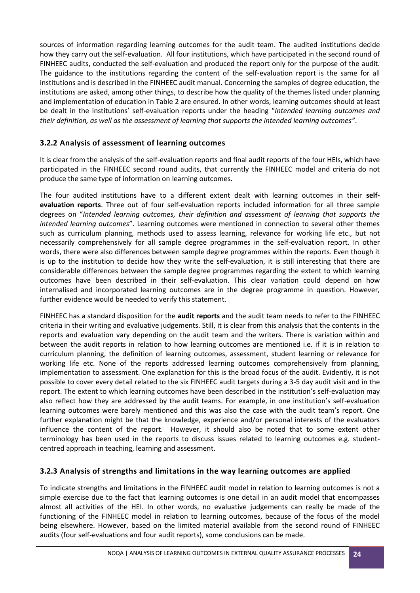sources of information regarding learning outcomes for the audit team. The audited institutions decide how they carry out the self-evaluation. All four institutions, which have participated in the second round of FINHEEC audits, conducted the self-evaluation and produced the report only for the purpose of the audit. The guidance to the institutions regarding the content of the self-evaluation report is the same for all institutions and is described in the FINHEEC audit manual. Concerning the samples of degree education, the institutions are asked, among other things, to describe how the quality of the themes listed under planning and implementation of education in Table 2 are ensured. In other words, learning outcomes should at least be dealt in the institutions' self-evaluation reports under the heading "*Intended learning outcomes and their definition, as well as the assessment of learning that supports the intended learning outcomes"*.

### <span id="page-23-0"></span>**3.2.2 Analysis of assessment of learning outcomes**

It is clear from the analysis of the self-evaluation reports and final audit reports of the four HEIs, which have participated in the FINHEEC second round audits, that currently the FINHEEC model and criteria do not produce the same type of information on learning outcomes.

The four audited institutions have to a different extent dealt with learning outcomes in their **selfevaluation reports**. Three out of four self-evaluation reports included information for all three sample degrees on "*Intended learning outcomes, their definition and assessment of learning that supports the intended learning outcomes*". Learning outcomes were mentioned in connection to several other themes such as curriculum planning, methods used to assess learning, relevance for working life etc., but not necessarily comprehensively for all sample degree programmes in the self-evaluation report. In other words, there were also differences between sample degree programmes within the reports. Even though it is up to the institution to decide how they write the self-evaluation, it is still interesting that there are considerable differences between the sample degree programmes regarding the extent to which learning outcomes have been described in their self-evaluation. This clear variation could depend on how internalised and incorporated learning outcomes are in the degree programme in question. However, further evidence would be needed to verify this statement.

FINHEEC has a standard disposition for the **audit reports** and the audit team needs to refer to the FINHEEC criteria in their writing and evaluative judgements. Still, it is clear from this analysis that the contents in the reports and evaluation vary depending on the audit team and the writers. There is variation within and between the audit reports in relation to how learning outcomes are mentioned i.e. if it is in relation to curriculum planning, the definition of learning outcomes, assessment, student learning or relevance for working life etc. None of the reports addressed learning outcomes comprehensively from planning, implementation to assessment. One explanation for this is the broad focus of the audit. Evidently, it is not possible to cover every detail related to the six FINHEEC audit targets during a 3-5 day audit visit and in the report. The extent to which learning outcomes have been described in the institution's self-evaluation may also reflect how they are addressed by the audit teams. For example, in one institution's self-evaluation learning outcomes were barely mentioned and this was also the case with the audit team's report. One further explanation might be that the knowledge, experience and/or personal interests of the evaluators influence the content of the report. However, it should also be noted that to some extent other terminology has been used in the reports to discuss issues related to learning outcomes e.g. studentcentred approach in teaching, learning and assessment.

#### <span id="page-23-1"></span>**3.2.3 Analysis of strengths and limitations in the way learning outcomes are applied**

To indicate strengths and limitations in the FINHEEC audit model in relation to learning outcomes is not a simple exercise due to the fact that learning outcomes is one detail in an audit model that encompasses almost all activities of the HEI. In other words, no evaluative judgements can really be made of the functioning of the FINHEEC model in relation to learning outcomes, because of the focus of the model being elsewhere. However, based on the limited material available from the second round of FINHEEC audits (four self-evaluations and four audit reports), some conclusions can be made.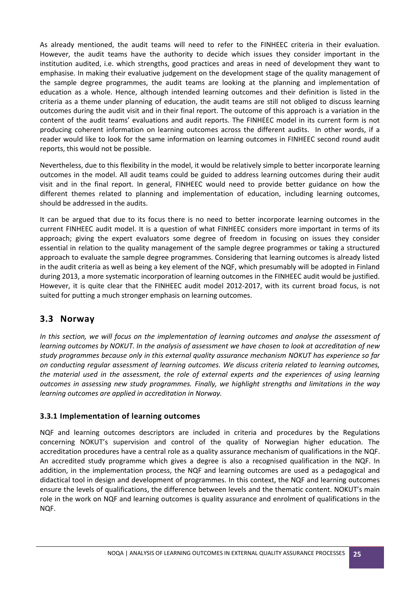As already mentioned, the audit teams will need to refer to the FINHEEC criteria in their evaluation. However, the audit teams have the authority to decide which issues they consider important in the institution audited, i.e. which strengths, good practices and areas in need of development they want to emphasise. In making their evaluative judgement on the development stage of the quality management of the sample degree programmes, the audit teams are looking at the planning and implementation of education as a whole. Hence, although intended learning outcomes and their definition is listed in the criteria as a theme under planning of education, the audit teams are still not obliged to discuss learning outcomes during the audit visit and in their final report. The outcome of this approach is a variation in the content of the audit teams' evaluations and audit reports. The FINHEEC model in its current form is not producing coherent information on learning outcomes across the different audits. In other words, if a reader would like to look for the same information on learning outcomes in FINHEEC second round audit reports, this would not be possible.

Nevertheless, due to this flexibility in the model, it would be relatively simple to better incorporate learning outcomes in the model. All audit teams could be guided to address learning outcomes during their audit visit and in the final report. In general, FINHEEC would need to provide better guidance on how the different themes related to planning and implementation of education, including learning outcomes, should be addressed in the audits.

It can be argued that due to its focus there is no need to better incorporate learning outcomes in the current FINHEEC audit model. It is a question of what FINHEEC considers more important in terms of its approach; giving the expert evaluators some degree of freedom in focusing on issues they consider essential in relation to the quality management of the sample degree programmes or taking a structured approach to evaluate the sample degree programmes. Considering that learning outcomes is already listed in the audit criteria as well as being a key element of the NQF, which presumably will be adopted in Finland during 2013, a more systematic incorporation of learning outcomes in the FINHEEC audit would be justified. However, it is quite clear that the FINHEEC audit model 2012-2017, with its current broad focus, is not suited for putting a much stronger emphasis on learning outcomes.

# <span id="page-24-0"></span>**3.3 Norway**

*In this section, we will focus on the implementation of learning outcomes and analyse the assessment of learning outcomes by NOKUT. In the analysis of assessment we have chosen to look at accreditation of new study programmes because only in this external quality assurance mechanism NOKUT has experience so far on conducting regular assessment of learning outcomes. We discuss criteria related to learning outcomes, the material used in the assessment, the role of external experts and the experiences of using learning outcomes in assessing new study programmes. Finally, we highlight strengths and limitations in the way learning outcomes are applied in accreditation in Norway.*

#### <span id="page-24-1"></span>**3.3.1 Implementation of learning outcomes**

NQF and learning outcomes descriptors are included in criteria and procedures by the Regulations concerning NOKUT's supervision and control of the quality of Norwegian higher education. The accreditation procedures have a central role as a quality assurance mechanism of qualifications in the NQF. An accredited study programme which gives a degree is also a recognised qualification in the NQF. In addition, in the implementation process, the NQF and learning outcomes are used as a pedagogical and didactical tool in design and development of programmes. In this context, the NQF and learning outcomes ensure the levels of qualifications, the difference between levels and the thematic content. NOKUT's main role in the work on NQF and learning outcomes is quality assurance and enrolment of qualifications in the NQF.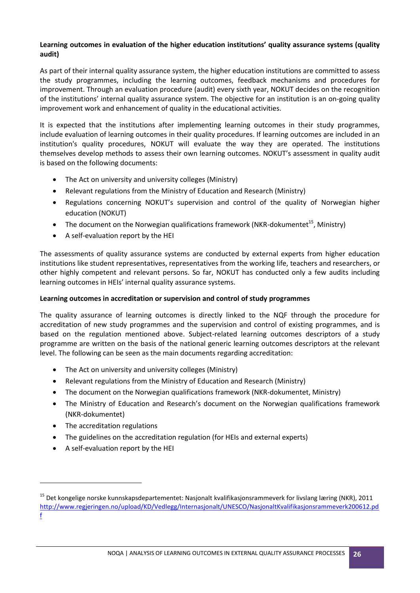#### **Learning outcomes in evaluation of the higher education institutions' quality assurance systems (quality audit)**

As part of their internal quality assurance system, the higher education institutions are committed to assess the study programmes, including the learning outcomes, feedback mechanisms and procedures for improvement. Through an evaluation procedure (audit) every sixth year, NOKUT decides on the recognition of the institutions' internal quality assurance system. The objective for an institution is an on-going quality improvement work and enhancement of quality in the educational activities.

It is expected that the institutions after implementing learning outcomes in their study programmes, include evaluation of learning outcomes in their quality procedures. If learning outcomes are included in an institution's quality procedures, NOKUT will evaluate the way they are operated. The institutions themselves develop methods to assess their own learning outcomes. NOKUT's assessment in quality audit is based on the following documents:

- The Act on university and university colleges (Ministry)
- Relevant regulations from the Ministry of Education and Research (Ministry)
- Regulations concerning NOKUT's supervision and control of the quality of Norwegian higher education (NOKUT)
- The document on the Norwegian qualifications framework (NKR-dokumentet<sup>15</sup>, Ministry)
- A self-evaluation report by the HEI

The assessments of quality assurance systems are conducted by external experts from higher education institutions like student representatives, representatives from the working life, teachers and researchers, or other highly competent and relevant persons. So far, NOKUT has conducted only a few audits including learning outcomes in HEIs' internal quality assurance systems.

#### **Learning outcomes in accreditation or supervision and control of study programmes**

The quality assurance of learning outcomes is directly linked to the NQF through the procedure for accreditation of new study programmes and the supervision and control of existing programmes, and is based on the regulation mentioned above. Subject-related learning outcomes descriptors of a study programme are written on the basis of the national generic learning outcomes descriptors at the relevant level. The following can be seen as the main documents regarding accreditation:

- The Act on university and university colleges (Ministry)
- Relevant regulations from the Ministry of Education and Research (Ministry)
- The document on the Norwegian qualifications framework (NKR-dokumentet, Ministry)
- The Ministry of Education and Research's document on the Norwegian qualifications framework (NKR-dokumentet)
- The accreditation regulations

**.** 

- The guidelines on the accreditation regulation (for HEIs and external experts)
- A self-evaluation report by the HEI

NOQA | ANALYSIS OF LEARNING OUTCOMES IN EXTERNAL QUALITY ASSURANCE PROCESSES **26**

<sup>&</sup>lt;sup>15</sup> Det kongelige norske kunnskapsdepartementet: Nasjonalt kvalifikasjonsrammeverk for livslang læring (NKR), 2011 [http://www.regjeringen.no/upload/KD/Vedlegg/Internasjonalt/UNESCO/NasjonaltKvalifikasjonsrammeverk200612.pd](http://www.regjeringen.no/upload/KD/Vedlegg/Internasjonalt/UNESCO/NasjonaltKvalifikasjonsrammeverk200612.pdf) [f](http://www.regjeringen.no/upload/KD/Vedlegg/Internasjonalt/UNESCO/NasjonaltKvalifikasjonsrammeverk200612.pdf)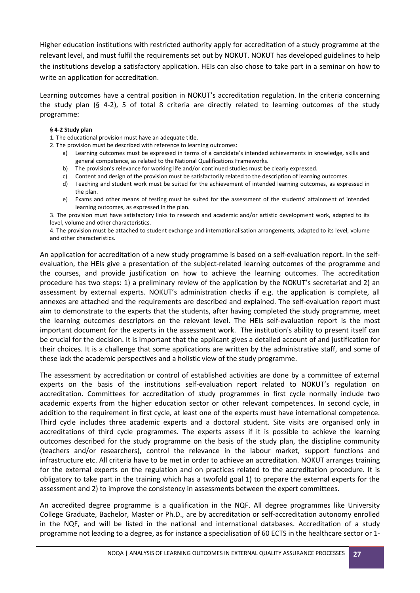Higher education institutions with restricted authority apply for accreditation of a study programme at the relevant level, and must fulfil the requirements set out by NOKUT. NOKUT has developed guidelines to help the institutions develop a satisfactory application. HEIs can also chose to take part in a seminar on how to write an application for accreditation.

Learning outcomes have a central position in NOKUT's accreditation regulation. In the criteria concerning the study plan (§ 4-2), 5 of total 8 criteria are directly related to learning outcomes of the study programme:

#### **§ 4-2 Study plan**

1. The educational provision must have an adequate title.

- 2. The provision must be described with reference to learning outcomes:
	- a) Learning outcomes must be expressed in terms of a candidate's intended achievements in knowledge, skills and general competence, as related to the National Qualifications Frameworks.
	- b) The provision's relevance for working life and/or continued studies must be clearly expressed.
	- c) Content and design of the provision must be satisfactorily related to the description of learning outcomes.
	- d) Teaching and student work must be suited for the achievement of intended learning outcomes, as expressed in the plan.
	- e) Exams and other means of testing must be suited for the assessment of the students' attainment of intended learning outcomes, as expressed in the plan.

3. The provision must have satisfactory links to research and academic and/or artistic development work, adapted to its level, volume and other characteristics.

4. The provision must be attached to student exchange and internationalisation arrangements, adapted to its level, volume and other characteristics.

An application for accreditation of a new study programme is based on a self-evaluation report. In the selfevaluation, the HEIs give a presentation of the subject-related learning outcomes of the programme and the courses, and provide justification on how to achieve the learning outcomes. The accreditation procedure has two steps: 1) a preliminary review of the application by the NOKUT's secretariat and 2) an assessment by external experts. NOKUT's administration checks if e.g. the application is complete, all annexes are attached and the requirements are described and explained. The self-evaluation report must aim to demonstrate to the experts that the students, after having completed the study programme, meet the learning outcomes descriptors on the relevant level. The HEIs self-evaluation report is the most important document for the experts in the assessment work. The institution's ability to present itself can be crucial for the decision. It is important that the applicant gives a detailed account of and justification for their choices. It is a challenge that some applications are written by the administrative staff, and some of these lack the academic perspectives and a holistic view of the study programme.

The assessment by accreditation or control of established activities are done by a committee of external experts on the basis of the institutions self-evaluation report related to NOKUT's regulation on accreditation. Committees for accreditation of study programmes in first cycle normally include two academic experts from the higher education sector or other relevant competences. In second cycle, in addition to the requirement in first cycle, at least one of the experts must have international competence. Third cycle includes three academic experts and a doctoral student. Site visits are organised only in accreditations of third cycle programmes. The experts assess if it is possible to achieve the learning outcomes described for the study programme on the basis of the study plan, the discipline community (teachers and/or researchers), control the relevance in the labour market, support functions and infrastructure etc. All criteria have to be met in order to achieve an accreditation. NOKUT arranges training for the external experts on the regulation and on practices related to the accreditation procedure. It is obligatory to take part in the training which has a twofold goal 1) to prepare the external experts for the assessment and 2) to improve the consistency in assessments between the expert committees.

An accredited degree programme is a qualification in the NQF. All degree programmes like University College Graduate, Bachelor, Master or Ph.D., are by accreditation or self-accreditation autonomy enrolled in the NQF, and will be listed in the national and international databases. Accreditation of a study programme not leading to a degree, as for instance a specialisation of 60 ECTS in the healthcare sector or 1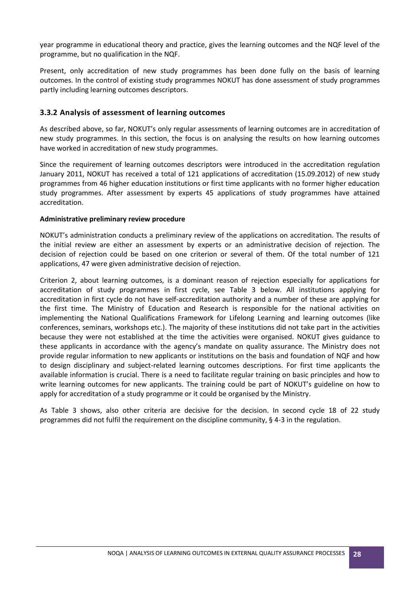year programme in educational theory and practice, gives the learning outcomes and the NQF level of the programme, but no qualification in the NQF.

Present, only accreditation of new study programmes has been done fully on the basis of learning outcomes. In the control of existing study programmes NOKUT has done assessment of study programmes partly including learning outcomes descriptors.

#### <span id="page-27-0"></span>**3.3.2 Analysis of assessment of learning outcomes**

As described above, so far, NOKUT's only regular assessments of learning outcomes are in accreditation of new study programmes. In this section, the focus is on analysing the results on how learning outcomes have worked in accreditation of new study programmes.

Since the requirement of learning outcomes descriptors were introduced in the accreditation regulation January 2011, NOKUT has received a total of 121 applications of accreditation (15.09.2012) of new study programmes from 46 higher education institutions or first time applicants with no former higher education study programmes. After assessment by experts 45 applications of study programmes have attained accreditation.

#### **Administrative preliminary review procedure**

NOKUT's administration conducts a preliminary review of the applications on accreditation. The results of the initial review are either an assessment by experts or an administrative decision of rejection. The decision of rejection could be based on one criterion or several of them. Of the total number of 121 applications, 47 were given administrative decision of rejection.

Criterion 2, about learning outcomes, is a dominant reason of rejection especially for applications for accreditation of study programmes in first cycle, see Table 3 below. All institutions applying for accreditation in first cycle do not have self-accreditation authority and a number of these are applying for the first time. The Ministry of Education and Research is responsible for the national activities on implementing the National Qualifications Framework for Lifelong Learning and learning outcomes (like conferences, seminars, workshops etc.). The majority of these institutions did not take part in the activities because they were not established at the time the activities were organised. NOKUT gives guidance to these applicants in accordance with the agency's mandate on quality assurance. The Ministry does not provide regular information to new applicants or institutions on the basis and foundation of NQF and how to design disciplinary and subject-related learning outcomes descriptions. For first time applicants the available information is crucial. There is a need to facilitate regular training on basic principles and how to write learning outcomes for new applicants. The training could be part of NOKUT's guideline on how to apply for accreditation of a study programme or it could be organised by the Ministry.

As Table 3 shows, also other criteria are decisive for the decision. In second cycle 18 of 22 study programmes did not fulfil the requirement on the discipline community, § 4-3 in the regulation.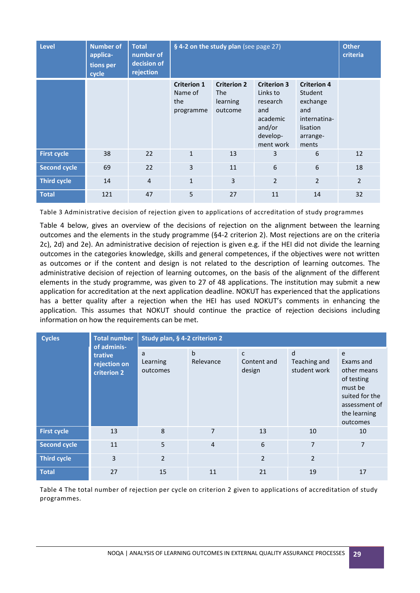| Level               | <b>Number of</b><br>applica-<br>tions per<br>cycle | <b>Total</b><br>number of<br>decision of<br>rejection | § 4-2 on the study plan (see page 27)             | <b>Other</b><br>criteria                                |                                                                                                  |                                                                                                   |                |
|---------------------|----------------------------------------------------|-------------------------------------------------------|---------------------------------------------------|---------------------------------------------------------|--------------------------------------------------------------------------------------------------|---------------------------------------------------------------------------------------------------|----------------|
|                     |                                                    |                                                       | <b>Criterion 1</b><br>Name of<br>the<br>programme | <b>Criterion 2</b><br><b>The</b><br>learning<br>outcome | <b>Criterion 3</b><br>Links to<br>research<br>and<br>academic<br>and/or<br>develop-<br>ment work | <b>Criterion 4</b><br>Student<br>exchange<br>and<br>internatina-<br>lisation<br>arrange-<br>ments |                |
| <b>First cycle</b>  | 38                                                 | 22                                                    | $\mathbf{1}$                                      | 13                                                      | 3                                                                                                | 6                                                                                                 | 12             |
| <b>Second cycle</b> | 69                                                 | 22                                                    | 3                                                 | 11                                                      | 6                                                                                                | 6                                                                                                 | 18             |
| <b>Third cycle</b>  | 14                                                 | $\overline{4}$                                        | $\mathbf{1}$                                      | $\overline{3}$                                          | $\overline{2}$                                                                                   | $\overline{2}$                                                                                    | $\overline{2}$ |
| <b>Total</b>        | 121                                                | 47                                                    | 5                                                 | 27                                                      | 11                                                                                               | 14                                                                                                | 32             |

Table 3 Administrative decision of rejection given to applications of accreditation of study programmes

Table 4 below, gives an overview of the decisions of rejection on the alignment between the learning outcomes and the elements in the study programme (§4-2 criterion 2). Most rejections are on the criteria 2c), 2d) and 2e). An administrative decision of rejection is given e.g. if the HEI did not divide the learning outcomes in the categories knowledge, skills and general competences, if the objectives were not written as outcomes or if the content and design is not related to the description of learning outcomes. The administrative decision of rejection of learning outcomes, on the basis of the alignment of the different elements in the study programme, was given to 27 of 48 applications. The institution may submit a new application for accreditation at the next application deadline. NOKUT has experienced that the applications has a better quality after a rejection when the HEI has used NOKUT's comments in enhancing the application. This assumes that NOKUT should continue the practice of rejection decisions including information on how the requirements can be met.

| <b>Cycles</b>       | <b>Total number</b><br>of adminis-     |                           | Study plan, § 4-2 criterion 2 |                            |                                   |                                                                                                                       |  |  |
|---------------------|----------------------------------------|---------------------------|-------------------------------|----------------------------|-----------------------------------|-----------------------------------------------------------------------------------------------------------------------|--|--|
|                     | trative<br>rejection on<br>criterion 2 | a<br>Learning<br>outcomes | $\mathbf b$<br>Relevance      | C<br>Content and<br>design | d<br>Teaching and<br>student work | e<br>Exams and<br>other means<br>of testing<br>must be<br>suited for the<br>assessment of<br>the learning<br>outcomes |  |  |
| <b>First cycle</b>  | 13                                     | 8                         | $\overline{7}$                | 13                         | 10                                | 10                                                                                                                    |  |  |
| <b>Second cycle</b> | 11                                     | 5                         | $\overline{4}$                | $\sqrt{6}$                 | 7                                 | $\overline{7}$                                                                                                        |  |  |
| <b>Third cycle</b>  | 3                                      | $\overline{2}$            |                               | $\overline{2}$             | $\overline{2}$                    |                                                                                                                       |  |  |
| <b>Total</b>        | 27                                     | 15                        | 11                            | 21                         | 19                                | 17                                                                                                                    |  |  |

Table 4 The total number of rejection per cycle on criterion 2 given to applications of accreditation of study programmes.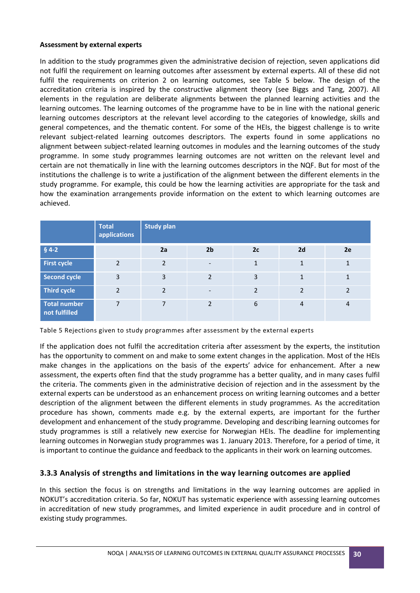#### **Assessment by external experts**

In addition to the study programmes given the administrative decision of rejection, seven applications did not fulfil the requirement on learning outcomes after assessment by external experts. All of these did not fulfil the requirements on criterion 2 on learning outcomes, see Table 5 below. The design of the accreditation criteria is inspired by the constructive alignment theory (see Biggs and Tang, 2007). All elements in the regulation are deliberate alignments between the planned learning activities and the learning outcomes. The learning outcomes of the programme have to be in line with the national generic learning outcomes descriptors at the relevant level according to the categories of knowledge, skills and general competences, and the thematic content. For some of the HEIs, the biggest challenge is to write relevant subject-related learning outcomes descriptors. The experts found in some applications no alignment between subject-related learning outcomes in modules and the learning outcomes of the study programme. In some study programmes learning outcomes are not written on the relevant level and certain are not thematically in line with the learning outcomes descriptors in the NQF. But for most of the institutions the challenge is to write a justification of the alignment between the different elements in the study programme. For example, this could be how the learning activities are appropriate for the task and how the examination arrangements provide information on the extent to which learning outcomes are achieved.

|                                      | <b>Total</b><br>applications | <b>Study plan</b> |                          |                |                         |                |
|--------------------------------------|------------------------------|-------------------|--------------------------|----------------|-------------------------|----------------|
| $§ 4-2$                              |                              | 2a                | 2 <sub>b</sub>           | 2c             | 2d                      | 2e             |
| <b>First cycle</b>                   | $\mathcal{L}$                | $\overline{2}$    | $\overline{\phantom{a}}$ | $\mathbf{1}$   | 1                       | 1              |
| <b>Second cycle</b>                  | 3                            | $\overline{3}$    | $\overline{2}$           | 3              | 1                       | $\mathbf{1}$   |
| <b>Third cycle</b>                   | $\overline{2}$               | $\overline{2}$    | $\overline{\phantom{a}}$ | $\overline{2}$ | $\overline{\mathbf{c}}$ | $\overline{2}$ |
| <b>Total number</b><br>not fulfilled |                              | 7                 | $\overline{2}$           | 6              | 4                       | $\overline{4}$ |

Table 5 Rejections given to study programmes after assessment by the external experts

If the application does not fulfil the accreditation criteria after assessment by the experts, the institution has the opportunity to comment on and make to some extent changes in the application. Most of the HEIs make changes in the applications on the basis of the experts' advice for enhancement. After a new assessment, the experts often find that the study programme has a better quality, and in many cases fulfil the criteria. The comments given in the administrative decision of rejection and in the assessment by the external experts can be understood as an enhancement process on writing learning outcomes and a better description of the alignment between the different elements in study programmes. As the accreditation procedure has shown, comments made e.g. by the external experts, are important for the further development and enhancement of the study programme. Developing and describing learning outcomes for study programmes is still a relatively new exercise for Norwegian HEIs. The deadline for implementing learning outcomes in Norwegian study programmes was 1. January 2013. Therefore, for a period of time, it is important to continue the guidance and feedback to the applicants in their work on learning outcomes.

#### <span id="page-29-0"></span>**3.3.3 Analysis of strengths and limitations in the way learning outcomes are applied**

In this section the focus is on strengths and limitations in the way learning outcomes are applied in NOKUT's accreditation criteria. So far, NOKUT has systematic experience with assessing learning outcomes in accreditation of new study programmes, and limited experience in audit procedure and in control of existing study programmes.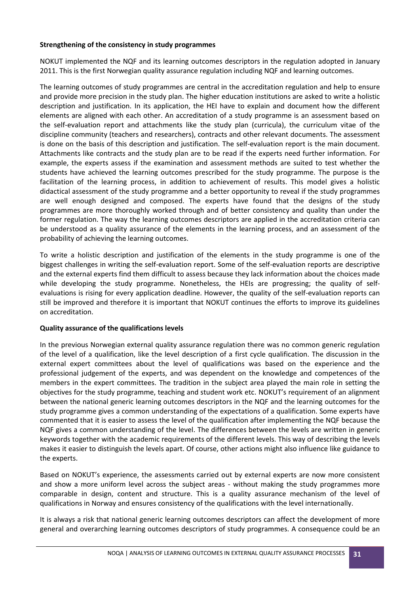#### **Strengthening of the consistency in study programmes**

NOKUT implemented the NQF and its learning outcomes descriptors in the regulation adopted in January 2011. This is the first Norwegian quality assurance regulation including NQF and learning outcomes.

The learning outcomes of study programmes are central in the accreditation regulation and help to ensure and provide more precision in the study plan. The higher education institutions are asked to write a holistic description and justification. In its application, the HEI have to explain and document how the different elements are aligned with each other. An accreditation of a study programme is an assessment based on the self-evaluation report and attachments like the study plan (curricula), the curriculum vitae of the discipline community (teachers and researchers), contracts and other relevant documents. The assessment is done on the basis of this description and justification. The self-evaluation report is the main document. Attachments like contracts and the study plan are to be read if the experts need further information. For example, the experts assess if the examination and assessment methods are suited to test whether the students have achieved the learning outcomes prescribed for the study programme. The purpose is the facilitation of the learning process, in addition to achievement of results. This model gives a holistic didactical assessment of the study programme and a better opportunity to reveal if the study programmes are well enough designed and composed. The experts have found that the designs of the study programmes are more thoroughly worked through and of better consistency and quality than under the former regulation. The way the learning outcomes descriptors are applied in the accreditation criteria can be understood as a quality assurance of the elements in the learning process, and an assessment of the probability of achieving the learning outcomes.

To write a holistic description and justification of the elements in the study programme is one of the biggest challenges in writing the self-evaluation report. Some of the self-evaluation reports are descriptive and the external experts find them difficult to assess because they lack information about the choices made while developing the study programme. Nonetheless, the HEIs are progressing; the quality of selfevaluations is rising for every application deadline. However, the quality of the self-evaluation reports can still be improved and therefore it is important that NOKUT continues the efforts to improve its guidelines on accreditation.

#### **Quality assurance of the qualifications levels**

In the previous Norwegian external quality assurance regulation there was no common generic regulation of the level of a qualification, like the level description of a first cycle qualification. The discussion in the external expert committees about the level of qualifications was based on the experience and the professional judgement of the experts, and was dependent on the knowledge and competences of the members in the expert committees. The tradition in the subject area played the main role in setting the objectives for the study programme, teaching and student work etc. NOKUT's requirement of an alignment between the national generic learning outcomes descriptors in the NQF and the learning outcomes for the study programme gives a common understanding of the expectations of a qualification. Some experts have commented that it is easier to assess the level of the qualification after implementing the NQF because the NQF gives a common understanding of the level. The differences between the levels are written in generic keywords together with the academic requirements of the different levels. This way of describing the levels makes it easier to distinguish the levels apart. Of course, other actions might also influence like guidance to the experts.

Based on NOKUT's experience, the assessments carried out by external experts are now more consistent and show a more uniform level across the subject areas - without making the study programmes more comparable in design, content and structure. This is a quality assurance mechanism of the level of qualifications in Norway and ensures consistency of the qualifications with the level internationally.

It is always a risk that national generic learning outcomes descriptors can affect the development of more general and overarching learning outcomes descriptors of study programmes. A consequence could be an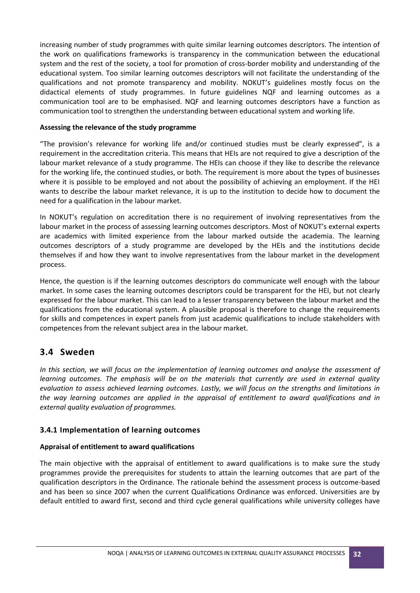increasing number of study programmes with quite similar learning outcomes descriptors. The intention of the work on qualifications frameworks is transparency in the communication between the educational system and the rest of the society, a tool for promotion of cross-border mobility and understanding of the educational system. Too similar learning outcomes descriptors will not facilitate the understanding of the qualifications and not promote transparency and mobility. NOKUT's guidelines mostly focus on the didactical elements of study programmes. In future guidelines NQF and learning outcomes as a communication tool are to be emphasised. NQF and learning outcomes descriptors have a function as communication tool to strengthen the understanding between educational system and working life.

#### **Assessing the relevance of the study programme**

"The provision's relevance for working life and/or continued studies must be clearly expressed", is a requirement in the accreditation criteria. This means that HEIs are not required to give a description of the labour market relevance of a study programme. The HEIs can choose if they like to describe the relevance for the working life, the continued studies, or both. The requirement is more about the types of businesses where it is possible to be employed and not about the possibility of achieving an employment. If the HEI wants to describe the labour market relevance, it is up to the institution to decide how to document the need for a qualification in the labour market.

In NOKUT's regulation on accreditation there is no requirement of involving representatives from the labour market in the process of assessing learning outcomes descriptors. Most of NOKUT's external experts are academics with limited experience from the labour marked outside the academia. The learning outcomes descriptors of a study programme are developed by the HEIs and the institutions decide themselves if and how they want to involve representatives from the labour market in the development process.

Hence, the question is if the learning outcomes descriptors do communicate well enough with the labour market. In some cases the learning outcomes descriptors could be transparent for the HEI, but not clearly expressed for the labour market. This can lead to a lesser transparency between the labour market and the qualifications from the educational system. A plausible proposal is therefore to change the requirements for skills and competences in expert panels from just academic qualifications to include stakeholders with competences from the relevant subject area in the labour market.

# <span id="page-31-0"></span>**3.4 Sweden**

*In this section, we will focus on the implementation of learning outcomes and analyse the assessment of learning outcomes. The emphasis will be on the materials that currently are used in external quality evaluation to assess achieved learning outcomes. Lastly, we will focus on the strengths and limitations in the way learning outcomes are applied in the appraisal of entitlement to award qualifications and in external quality evaluation of programmes.*

#### <span id="page-31-1"></span>**3.4.1 Implementation of learning outcomes**

#### **Appraisal of entitlement to award qualifications**

The main objective with the appraisal of entitlement to award qualifications is to make sure the study programmes provide the prerequisites for students to attain the learning outcomes that are part of the qualification descriptors in the Ordinance. The rationale behind the assessment process is outcome-based and has been so since 2007 when the current Qualifications Ordinance was enforced. Universities are by default entitled to award first, second and third cycle general qualifications while university colleges have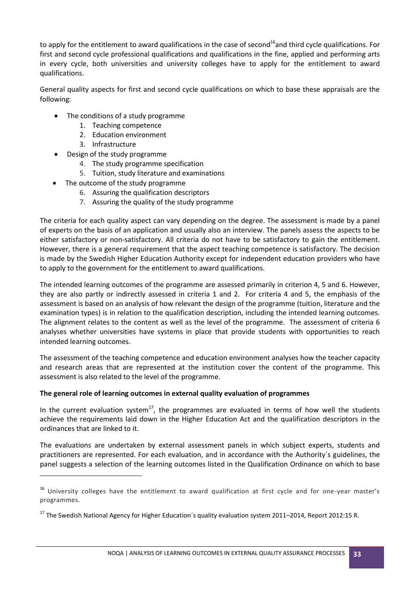to apply for the entitlement to award qualifications in the case of second<sup>16</sup>and third cycle qualifications. For first and second cycle professional qualifications and qualifications in the fine, applied and performing arts in every cycle, both universities and university colleges have to apply for the entitlement to award qualifications.

General quality aspects for first and second cycle qualifications on which to base these appraisals are the following:

- The conditions of a study programme
	- 1. Teaching competence
	- 2. Education environment
	- 3. Infrastructure

 $\overline{a}$ 

- Design of the study programme
	- 4. The study programme specification
	- 5. Tuition, study literature and examinations
- The outcome of the study programme
	- 6. Assuring the qualification descriptors
	- 7. Assuring the quality of the study programme

The criteria for each quality aspect can vary depending on the degree. The assessment is made by a panel of experts on the basis of an application and usually also an interview. The panels assess the aspects to be either satisfactory or non-satisfactory. All criteria do not have to be satisfactory to gain the entitlement. However, there is a general requirement that the aspect teaching competence is satisfactory. The decision is made by the Swedish Higher Education Authority except for independent education providers who have to apply to the government for the entitlement to award qualifications.

The intended learning outcomes of the programme are assessed primarily in criterion 4, 5 and 6. However, they are also partly or indirectly assessed in criteria 1 and 2. For criteria 4 and 5, the emphasis of the assessment is based on an analysis of how relevant the design of the programme (tuition, literature and the examination types) is in relation to the qualification description, including the intended learning outcomes. The alignment relates to the content as well as the level of the programme. The assessment of criteria 6 analyses whether universities have systems in place that provide students with opportunities to reach intended learning outcomes.

The assessment of the teaching competence and education environment analyses how the teacher capacity and research areas that are represented at the institution cover the content of the programme. This assessment is also related to the level of the programme.

#### **The general role of learning outcomes in external quality evaluation of programmes**

In the current evaluation system<sup>17</sup>, the programmes are evaluated in terms of how well the students achieve the requirements laid down in the Higher Education Act and the qualification descriptors in the ordinances that are linked to it.

The evaluations are undertaken by external assessment panels in which subject experts, students and practitioners are represented. For each evaluation, and in accordance with the Authority´s guidelines, the panel suggests a selection of the learning outcomes listed in the Qualification Ordinance on which to base

<sup>&</sup>lt;sup>16</sup> University colleges have the entitlement to award qualification at first cycle and for one-year master's programmes.

<sup>&</sup>lt;sup>17</sup> The Swedish National Agency for Higher Education's quality evaluation system 2011–2014, Report 2012:15 R.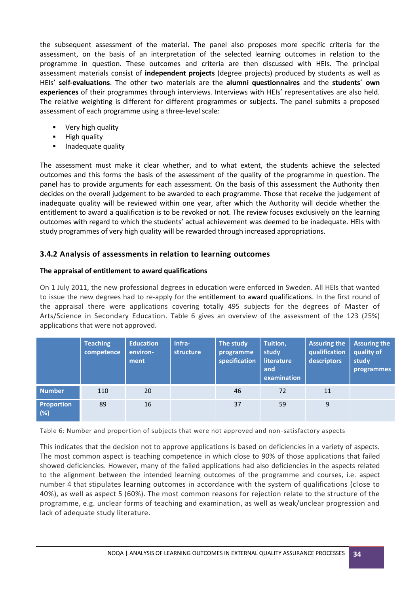the subsequent assessment of the material. The panel also proposes more specific criteria for the assessment, on the basis of an interpretation of the selected learning outcomes in relation to the programme in question. These outcomes and criteria are then discussed with HEIs. The principal assessment materials consist of **independent projects** (degree projects) produced by students as well as HEIs' **self-evaluations**. The other two materials are the **alumni questionnaires** and the **students´ own experiences** of their programmes through interviews. Interviews with HEIs' representatives are also held. The relative weighting is different for different programmes or subjects. The panel submits a proposed assessment of each programme using a three-level scale:

- **•** Very high quality
- **-** High quality
- Inadequate quality

The assessment must make it clear whether, and to what extent, the students achieve the selected outcomes and this forms the basis of the assessment of the quality of the programme in question. The panel has to provide arguments for each assessment. On the basis of this assessment the Authority then decides on the overall judgement to be awarded to each programme. Those that receive the judgement of inadequate quality will be reviewed within one year, after which the Authority will decide whether the entitlement to award a qualification is to be revoked or not. The review focuses exclusively on the learning outcomes with regard to which the students' actual achievement was deemed to be inadequate. HEIs with study programmes of very high quality will be rewarded through increased appropriations.

#### <span id="page-33-0"></span>**3.4.2 Analysis of assessments in relation to learning outcomes**

#### **The appraisal of entitlement to award qualifications**

On 1 July 2011, the new professional degrees in education were enforced in Sweden. All HEIs that wanted to issue the new degrees had to re-apply for the entitlement to award qualifications. In the first round of the appraisal there were applications covering totally 495 subjects for the degrees of Master of Arts/Science in Secondary Education. Table 6 gives an overview of the assessment of the 123 (25%) applications that were not approved.

|                          | <b>Teaching</b><br>competence | <b>Education</b><br>environ-<br>ment | Infra-<br>structure | The study<br>programme<br>specification | Tuition,<br>study<br>literature<br>and<br>examination | <b>Assuring the</b><br>qualification<br>descriptors | <b>Assuring the</b><br>quality of<br>study<br>programmes |
|--------------------------|-------------------------------|--------------------------------------|---------------------|-----------------------------------------|-------------------------------------------------------|-----------------------------------------------------|----------------------------------------------------------|
| <b>Number</b>            | 110                           | 20                                   |                     | 46                                      | 72                                                    | 11                                                  |                                                          |
| <b>Proportion</b><br>(%) | 89                            | 16                                   |                     | 37                                      | 59                                                    | 9                                                   |                                                          |

Table 6: Number and proportion of subjects that were not approved and non-satisfactory aspects

This indicates that the decision not to approve applications is based on deficiencies in a variety of aspects. The most common aspect is teaching competence in which close to 90% of those applications that failed showed deficiencies. However, many of the failed applications had also deficiencies in the aspects related to the alignment between the intended learning outcomes of the programme and courses, i.e. aspect number 4 that stipulates learning outcomes in accordance with the system of qualifications (close to 40%), as well as aspect 5 (60%). The most common reasons for rejection relate to the structure of the programme, e.g. unclear forms of teaching and examination, as well as weak/unclear progression and lack of adequate study literature.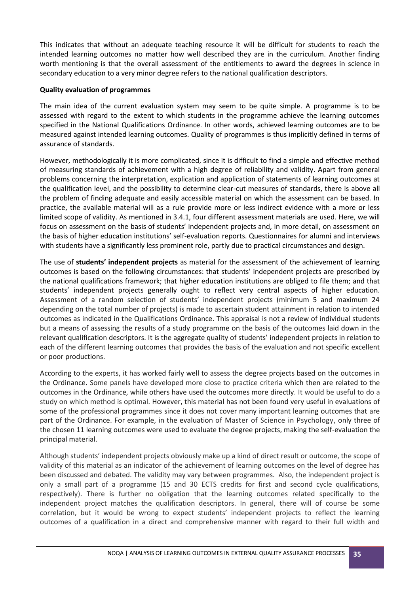This indicates that without an adequate teaching resource it will be difficult for students to reach the intended learning outcomes no matter how well described they are in the curriculum. Another finding worth mentioning is that the overall assessment of the entitlements to award the degrees in science in secondary education to a very minor degree refers to the national qualification descriptors.

#### **Quality evaluation of programmes**

The main idea of the current evaluation system may seem to be quite simple. A programme is to be assessed with regard to the extent to which students in the programme achieve the learning outcomes specified in the National Qualifications Ordinance. In other words, achieved learning outcomes are to be measured against intended learning outcomes. Quality of programmes is thus implicitly defined in terms of assurance of standards.

However, methodologically it is more complicated, since it is difficult to find a simple and effective method of measuring standards of achievement with a high degree of reliability and validity. Apart from general problems concerning the interpretation, explication and application of statements of learning outcomes at the qualification level, and the possibility to determine clear-cut measures of standards, there is above all the problem of finding adequate and easily accessible material on which the assessment can be based. In practice, the available material will as a rule provide more or less indirect evidence with a more or less limited scope of validity. As mentioned in 3.4.1, four different assessment materials are used. Here, we will focus on assessment on the basis of students' independent projects and, in more detail, on assessment on the basis of higher education institutions' self-evaluation reports. Questionnaires for alumni and interviews with students have a significantly less prominent role, partly due to practical circumstances and design.

The use of **students' independent projects** as material for the assessment of the achievement of learning outcomes is based on the following circumstances: that students' independent projects are prescribed by the national qualifications framework; that higher education institutions are obliged to file them; and that students' independent projects generally ought to reflect very central aspects of higher education. Assessment of a random selection of students' independent projects (minimum 5 and maximum 24 depending on the total number of projects) is made to ascertain student attainment in relation to intended outcomes as indicated in the Qualifications Ordinance. This appraisal is not a review of individual students but a means of assessing the results of a study programme on the basis of the outcomes laid down in the relevant qualification descriptors. It is the aggregate quality of students' independent projects in relation to each of the different learning outcomes that provides the basis of the evaluation and not specific excellent or poor productions.

According to the experts, it has worked fairly well to assess the degree projects based on the outcomes in the Ordinance. Some panels have developed more close to practice criteria which then are related to the outcomes in the Ordinance, while others have used the outcomes more directly. It would be useful to do a study on which method is optimal. However, this material has not been found very useful in evaluations of some of the professional programmes since it does not cover many important learning outcomes that are part of the Ordinance. For example, in the evaluation of Master of Science in Psychology, only three of the chosen 11 learning outcomes were used to evaluate the degree projects, making the self-evaluation the principal material.

Although students' independent projects obviously make up a kind of direct result or outcome, the scope of validity of this material as an indicator of the achievement of learning outcomes on the level of degree has been discussed and debated. The validity may vary between programmes. Also, the independent project is only a small part of a programme (15 and 30 ECTS credits for first and second cycle qualifications, respectively). There is further no obligation that the learning outcomes related specifically to the independent project matches the qualification descriptors. In general, there will of course be some correlation, but it would be wrong to expect students' independent projects to reflect the learning outcomes of a qualification in a direct and comprehensive manner with regard to their full width and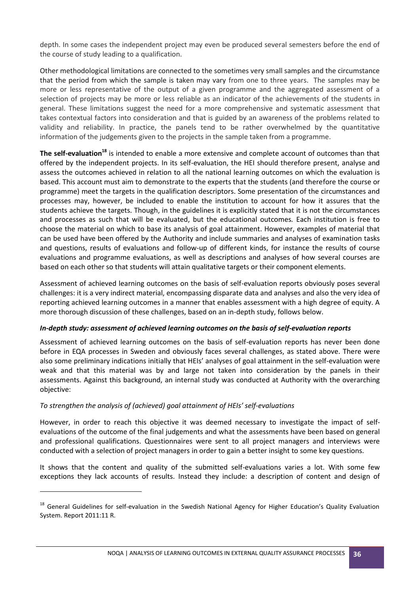depth. In some cases the independent project may even be produced several semesters before the end of the course of study leading to a qualification.

Other methodological limitations are connected to the sometimes very small samples and the circumstance that the period from which the sample is taken may vary from one to three years. The samples may be more or less representative of the output of a given programme and the aggregated assessment of a selection of projects may be more or less reliable as an indicator of the achievements of the students in general. These limitations suggest the need for a more comprehensive and systematic assessment that takes contextual factors into consideration and that is guided by an awareness of the problems related to validity and reliability. In practice, the panels tend to be rather overwhelmed by the quantitative information of the judgements given to the projects in the sample taken from a programme.

**The self-evaluation<sup>18</sup>** is intended to enable a more extensive and complete account of outcomes than that offered by the independent projects. In its self-evaluation, the HEI should therefore present, analyse and assess the outcomes achieved in relation to all the national learning outcomes on which the evaluation is based. This account must aim to demonstrate to the experts that the students (and therefore the course or programme) meet the targets in the qualification descriptors. Some presentation of the circumstances and processes may, however, be included to enable the institution to account for how it assures that the students achieve the targets. Though, in the guidelines it is explicitly stated that it is not the circumstances and processes as such that will be evaluated, but the educational outcomes*.* Each institution is free to choose the material on which to base its analysis of goal attainment. However, examples of material that can be used have been offered by the Authority and include summaries and analyses of examination tasks and questions, results of evaluations and follow-up of different kinds, for instance the results of course evaluations and programme evaluations, as well as descriptions and analyses of how several courses are based on each other so that students will attain qualitative targets or their component elements.

Assessment of achieved learning outcomes on the basis of self-evaluation reports obviously poses several challenges: it is a very indirect material, encompassing disparate data and analyses and also the very idea of reporting achieved learning outcomes in a manner that enables assessment with a high degree of equity. A more thorough discussion of these challenges, based on an in-depth study, follows below.

#### *In-depth study: assessment of achieved learning outcomes on the basis of self-evaluation reports*

Assessment of achieved learning outcomes on the basis of self-evaluation reports has never been done before in EQA processes in Sweden and obviously faces several challenges, as stated above. There were also some preliminary indications initially that HEIs' analyses of goal attainment in the self-evaluation were weak and that this material was by and large not taken into consideration by the panels in their assessments. Against this background, an internal study was conducted at Authority with the overarching objective:

#### *To strengthen the analysis of (achieved) goal attainment of HEIs' self-evaluations*

**.** 

However, in order to reach this objective it was deemed necessary to investigate the impact of selfevaluations of the outcome of the final judgements and what the assessments have been based on general and professional qualifications. Questionnaires were sent to all project managers and interviews were conducted with a selection of project managers in order to gain a better insight to some key questions.

It shows that the content and quality of the submitted self-evaluations varies a lot. With some few exceptions they lack accounts of results. Instead they include: a description of content and design of

<sup>&</sup>lt;sup>18</sup> General Guidelines for self-evaluation in the Swedish National Agency for Higher Education's Quality Evaluation System. Report 2011:11 R.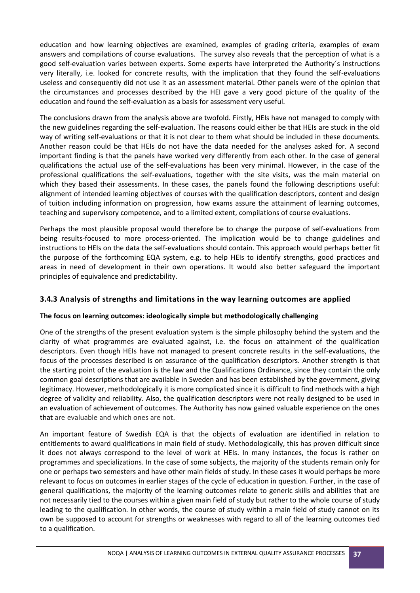education and how learning objectives are examined, examples of grading criteria, examples of exam answers and compilations of course evaluations. The survey also reveals that the perception of what is a good self-evaluation varies between experts. Some experts have interpreted the Authority´s instructions very literally, i.e. looked for concrete results, with the implication that they found the self-evaluations useless and consequently did not use it as an assessment material. Other panels were of the opinion that the circumstances and processes described by the HEI gave a very good picture of the quality of the education and found the self-evaluation as a basis for assessment very useful.

The conclusions drawn from the analysis above are twofold. Firstly, HEIs have not managed to comply with the new guidelines regarding the self-evaluation. The reasons could either be that HEIs are stuck in the old way of writing self-evaluations or that it is not clear to them what should be included in these documents. Another reason could be that HEIs do not have the data needed for the analyses asked for. A second important finding is that the panels have worked very differently from each other. In the case of general qualifications the actual use of the self-evaluations has been very minimal. However, in the case of the professional qualifications the self-evaluations, together with the site visits, was the main material on which they based their assessments. In these cases, the panels found the following descriptions useful: alignment of intended learning objectives of courses with the qualification descriptors, content and design of tuition including information on progression, how exams assure the attainment of learning outcomes, teaching and supervisory competence, and to a limited extent, compilations of course evaluations.

Perhaps the most plausible proposal would therefore be to change the purpose of self-evaluations from being results-focused to more process-oriented. The implication would be to change guidelines and instructions to HEIs on the data the self-evaluations should contain. This approach would perhaps better fit the purpose of the forthcoming EQA system, e.g. to help HEIs to identify strengths, good practices and areas in need of development in their own operations. It would also better safeguard the important principles of equivalence and predictability.

#### <span id="page-36-0"></span>**3.4.3 Analysis of strengths and limitations in the way learning outcomes are applied**

#### **The focus on learning outcomes: ideologically simple but methodologically challenging**

One of the strengths of the present evaluation system is the simple philosophy behind the system and the clarity of what programmes are evaluated against, i.e. the focus on attainment of the qualification descriptors. Even though HEIs have not managed to present concrete results in the self-evaluations, the focus of the processes described is on assurance of the qualification descriptors. Another strength is that the starting point of the evaluation is the law and the Qualifications Ordinance, since they contain the only common goal descriptions that are available in Sweden and has been established by the government, giving legitimacy. However, methodologically it is more complicated since it is difficult to find methods with a high degree of validity and reliability. Also, the qualification descriptors were not really designed to be used in an evaluation of achievement of outcomes. The Authority has now gained valuable experience on the ones that are evaluable and which ones are not.

An important feature of Swedish EQA is that the objects of evaluation are identified in relation to entitlements to award qualifications in main field of study. Methodologically, this has proven difficult since it does not always correspond to the level of work at HEIs. In many instances, the focus is rather on programmes and specializations. In the case of some subjects, the majority of the students remain only for one or perhaps two semesters and have other main fields of study. In these cases it would perhaps be more relevant to focus on outcomes in earlier stages of the cycle of education in question. Further, in the case of general qualifications, the majority of the learning outcomes relate to generic skills and abilities that are not necessarily tied to the courses within a given main field of study but rather to the whole course of study leading to the qualification. In other words, the course of study within a main field of study cannot on its own be supposed to account for strengths or weaknesses with regard to all of the learning outcomes tied to a qualification.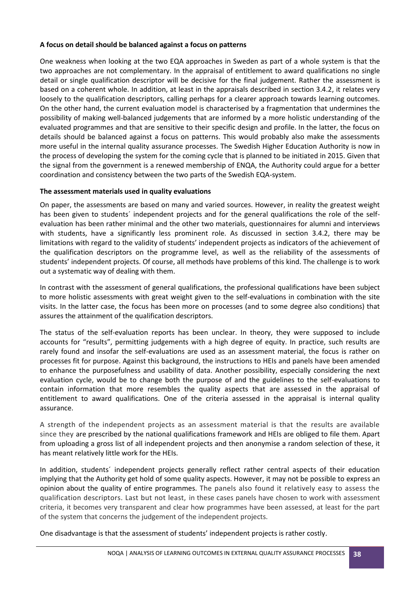#### **A focus on detail should be balanced against a focus on patterns**

One weakness when looking at the two EQA approaches in Sweden as part of a whole system is that the two approaches are not complementary. In the appraisal of entitlement to award qualifications no single detail or single qualification descriptor will be decisive for the final judgement. Rather the assessment is based on a coherent whole. In addition, at least in the appraisals described in section 3.4.2, it relates very loosely to the qualification descriptors, calling perhaps for a clearer approach towards learning outcomes. On the other hand, the current evaluation model is characterised by a fragmentation that undermines the possibility of making well-balanced judgements that are informed by a more holistic understanding of the evaluated programmes and that are sensitive to their specific design and profile. In the latter, the focus on details should be balanced against a focus on patterns. This would probably also make the assessments more useful in the internal quality assurance processes. The Swedish Higher Education Authority is now in the process of developing the system for the coming cycle that is planned to be initiated in 2015. Given that the signal from the government is a renewed membership of ENQA, the Authority could argue for a better coordination and consistency between the two parts of the Swedish EQA-system.

#### **The assessment materials used in quality evaluations**

On paper, the assessments are based on many and varied sources. However, in reality the greatest weight has been given to students' independent projects and for the general qualifications the role of the selfevaluation has been rather minimal and the other two materials, questionnaires for alumni and interviews with students, have a significantly less prominent role. As discussed in section 3.4.2, there may be limitations with regard to the validity of students' independent projects as indicators of the achievement of the qualification descriptors on the programme level, as well as the reliability of the assessments of students' independent projects. Of course, all methods have problems of this kind. The challenge is to work out a systematic way of dealing with them.

In contrast with the assessment of general qualifications, the professional qualifications have been subject to more holistic assessments with great weight given to the self-evaluations in combination with the site visits. In the latter case, the focus has been more on processes (and to some degree also conditions) that assures the attainment of the qualification descriptors.

The status of the self-evaluation reports has been unclear. In theory, they were supposed to include accounts for "results", permitting judgements with a high degree of equity. In practice, such results are rarely found and insofar the self-evaluations are used as an assessment material, the focus is rather on processes fit for purpose. Against this background, the instructions to HEIs and panels have been amended to enhance the purposefulness and usability of data. Another possibility, especially considering the next evaluation cycle, would be to change both the purpose of and the guidelines to the self-evaluations to contain information that more resembles the quality aspects that are assessed in the appraisal of entitlement to award qualifications. One of the criteria assessed in the appraisal is internal quality assurance.

A strength of the independent projects as an assessment material is that the results are available since they are prescribed by the national qualifications framework and HEIs are obliged to file them. Apart from uploading a gross list of all independent projects and then anonymise a random selection of these, it has meant relatively little work for the HEIs.

In addition, students´ independent projects generally reflect rather central aspects of their education implying that the Authority get hold of some quality aspects. However, it may not be possible to express an opinion about the quality of entire programmes. The panels also found it relatively easy to assess the qualification descriptors. Last but not least, in these cases panels have chosen to work with assessment criteria, it becomes very transparent and clear how programmes have been assessed, at least for the part of the system that concerns the judgement of the independent projects.

One disadvantage is that the assessment of students' independent projects is rather costly.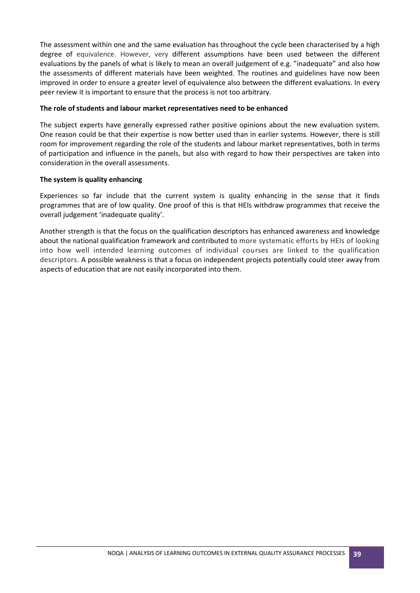The assessment within one and the same evaluation has throughout the cycle been characterised by a high degree of equivalence. However, very different assumptions have been used between the different evaluations by the panels of what is likely to mean an overall judgement of e.g. "inadequate" and also how the assessments of different materials have been weighted. The routines and guidelines have now been improved in order to ensure a greater level of equivalence also between the different evaluations. In every peer review it is important to ensure that the process is not too arbitrary.

#### **The role of students and labour market representatives need to be enhanced**

The subject experts have generally expressed rather positive opinions about the new evaluation system. One reason could be that their expertise is now better used than in earlier systems. However, there is still room for improvement regarding the role of the students and labour market representatives, both in terms of participation and influence in the panels, but also with regard to how their perspectives are taken into consideration in the overall assessments.

#### **The system is quality enhancing**

Experiences so far include that the current system is quality enhancing in the sense that it finds programmes that are of low quality. One proof of this is that HEIs withdraw programmes that receive the overall judgement 'inadequate quality'.

Another strength is that the focus on the qualification descriptors has enhanced awareness and knowledge about the national qualification framework and contributed to more systematic efforts by HEIs of looking into how well intended learning outcomes of individual courses are linked to the qualification descriptors. A possible weakness is that a focus on independent projects potentially could steer away from aspects of education that are not easily incorporated into them.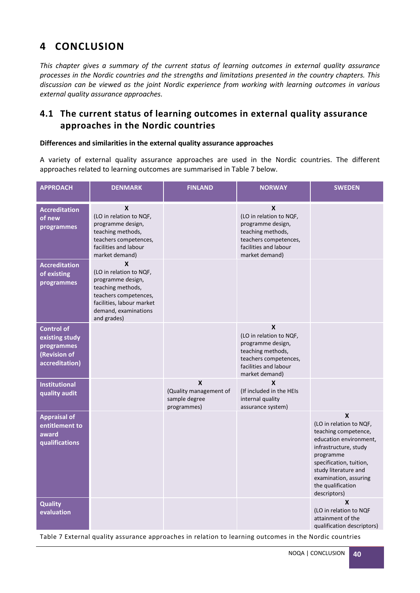# <span id="page-39-0"></span>**4 CONCLUSION**

*This chapter gives a summary of the current status of learning outcomes in external quality assurance processes in the Nordic countries and the strengths and limitations presented in the country chapters. This discussion can be viewed as the joint Nordic experience from working with learning outcomes in various external quality assurance approaches.* 

# <span id="page-39-1"></span>**4.1 The current status of learning outcomes in external quality assurance approaches in the Nordic countries**

#### **Differences and similarities in the external quality assurance approaches**

A variety of external quality assurance approaches are used in the Nordic countries. The different approaches related to learning outcomes are summarised in Table 7 below.

| <b>APPROACH</b>                                                                     | <b>DENMARK</b>                                                                                                                                                                     | <b>FINLAND</b>                                              | <b>NORWAY</b>                                                                                                                              | <b>SWEDEN</b>                                                                                                                                                                                                                         |
|-------------------------------------------------------------------------------------|------------------------------------------------------------------------------------------------------------------------------------------------------------------------------------|-------------------------------------------------------------|--------------------------------------------------------------------------------------------------------------------------------------------|---------------------------------------------------------------------------------------------------------------------------------------------------------------------------------------------------------------------------------------|
| <b>Accreditation</b><br>of new<br>programmes                                        | $\boldsymbol{x}$<br>(LO in relation to NQF,<br>programme design,<br>teaching methods,<br>teachers competences,<br>facilities and labour<br>market demand)                          |                                                             | X<br>(LO in relation to NQF,<br>programme design,<br>teaching methods,<br>teachers competences,<br>facilities and labour<br>market demand) |                                                                                                                                                                                                                                       |
| <b>Accreditation</b><br>of existing<br>programmes                                   | $\boldsymbol{x}$<br>(LO in relation to NQF,<br>programme design,<br>teaching methods,<br>teachers competences,<br>facilities, labour market<br>demand, examinations<br>and grades) |                                                             |                                                                                                                                            |                                                                                                                                                                                                                                       |
| <b>Control of</b><br>existing study<br>programmes<br>(Revision of<br>accreditation) |                                                                                                                                                                                    |                                                             | X<br>(LO in relation to NQF,<br>programme design,<br>teaching methods,<br>teachers competences,<br>facilities and labour<br>market demand) |                                                                                                                                                                                                                                       |
| <b>Institutional</b><br>quality audit                                               |                                                                                                                                                                                    | X<br>(Quality management of<br>sample degree<br>programmes) | X<br>(If included in the HEIs<br>internal quality<br>assurance system)                                                                     |                                                                                                                                                                                                                                       |
| <b>Appraisal of</b><br>entitlement to<br>award<br>qualifications                    |                                                                                                                                                                                    |                                                             |                                                                                                                                            | X<br>(LO in relation to NQF,<br>teaching competence,<br>education environment,<br>infrastructure, study<br>programme<br>specification, tuition,<br>study literature and<br>examination, assuring<br>the qualification<br>descriptors) |
| <b>Quality</b><br>evaluation                                                        |                                                                                                                                                                                    |                                                             |                                                                                                                                            | X<br>(LO in relation to NQF<br>attainment of the<br>qualification descriptors)                                                                                                                                                        |

Table 7 External quality assurance approaches in relation to learning outcomes in the Nordic countries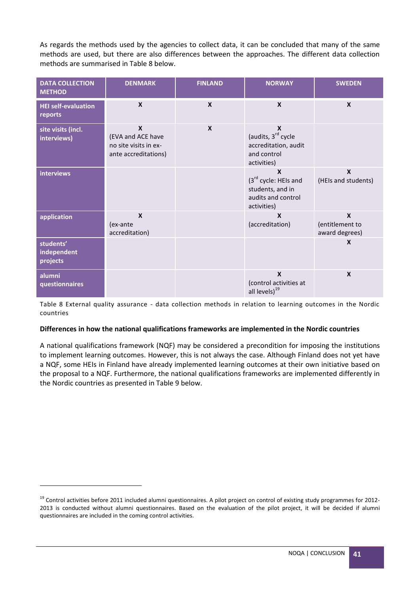As regards the methods used by the agencies to collect data, it can be concluded that many of the same methods are used, but there are also differences between the approaches. The different data collection methods are summarised in Table 8 below.

| <b>DATA COLLECTION</b><br><b>METHOD</b> | <b>DENMARK</b>                                                                    | <b>FINLAND</b>            | <b>NORWAY</b>                                                                                  | <b>SWEDEN</b>                                    |
|-----------------------------------------|-----------------------------------------------------------------------------------|---------------------------|------------------------------------------------------------------------------------------------|--------------------------------------------------|
| <b>HEI self-evaluation</b><br>reports   | $\boldsymbol{\mathsf{x}}$                                                         | $\boldsymbol{\mathsf{x}}$ | $\boldsymbol{\mathsf{x}}$                                                                      | $\mathbf x$                                      |
| site visits (incl.<br>interviews)       | $\mathbf x$<br>(EVA and ACE have<br>no site visits in ex-<br>ante accreditations) | $\mathbf x$               | X<br>(audits, 3rd cycle<br>accreditation, audit<br>and control<br>activities)                  |                                                  |
| interviews                              |                                                                                   |                           | X<br>(3 <sup>rd</sup> cycle: HEIs and<br>students, and in<br>audits and control<br>activities) | $\mathbf x$<br>(HEIs and students)               |
| application                             | $\boldsymbol{x}$<br>(ex-ante<br>accreditation)                                    |                           | X<br>(accreditation)                                                                           | $\mathbf x$<br>(entitlement to<br>award degrees) |
| students'<br>independent<br>projects    |                                                                                   |                           |                                                                                                | $\boldsymbol{x}$                                 |
| alumni<br>questionnaires                |                                                                                   |                           | $\boldsymbol{x}$<br>(control activities at<br>all levels) <sup>19</sup>                        | $\boldsymbol{x}$                                 |

Table 8 External quality assurance - data collection methods in relation to learning outcomes in the Nordic countries

#### **Differences in how the national qualifications frameworks are implemented in the Nordic countries**

A national qualifications framework (NQF) may be considered a precondition for imposing the institutions to implement learning outcomes. However, this is not always the case. Although Finland does not yet have a NQF, some HEIs in Finland have already implemented learning outcomes at their own initiative based on the proposal to a NQF. Furthermore, the national qualifications frameworks are implemented differently in the Nordic countries as presented in Table 9 below.

**.** 

<sup>&</sup>lt;sup>19</sup> Control activities before 2011 included alumni questionnaires. A pilot project on control of existing study programmes for 2012-2013 is conducted without alumni questionnaires. Based on the evaluation of the pilot project, it will be decided if alumni questionnaires are included in the coming control activities.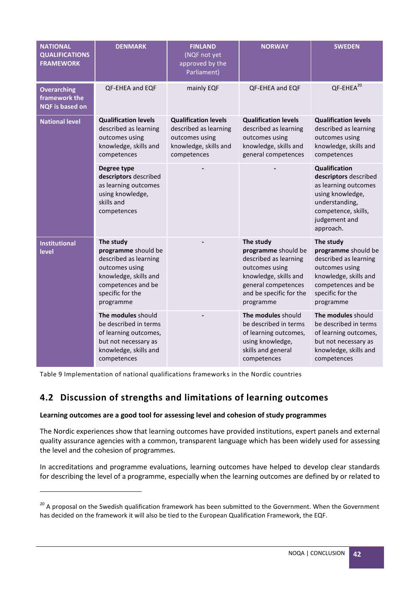| <b>NATIONAL</b><br><b>QUALIFICATIONS</b><br><b>FRAMEWORK</b>  | <b>DENMARK</b>                                                                                                                                              | <b>FINLAND</b><br>(NQF not yet<br>approved by the<br>Parliament)                                               | <b>NORWAY</b>                                                                                                                                                       | <b>SWEDEN</b>                                                                                                                                                    |
|---------------------------------------------------------------|-------------------------------------------------------------------------------------------------------------------------------------------------------------|----------------------------------------------------------------------------------------------------------------|---------------------------------------------------------------------------------------------------------------------------------------------------------------------|------------------------------------------------------------------------------------------------------------------------------------------------------------------|
| <b>Overarching</b><br>framework the<br><b>NQF</b> is based on | <b>QF-EHEA and EQF</b>                                                                                                                                      | mainly EQF                                                                                                     | QF-EHEA and EQF                                                                                                                                                     | QF-EHEA <sup>20</sup>                                                                                                                                            |
| <b>National level</b>                                         | <b>Qualification levels</b><br>described as learning<br>outcomes using<br>knowledge, skills and<br>competences                                              | <b>Qualification levels</b><br>described as learning<br>outcomes using<br>knowledge, skills and<br>competences | <b>Qualification levels</b><br>described as learning<br>outcomes using<br>knowledge, skills and<br>general competences                                              | <b>Qualification levels</b><br>described as learning<br>outcomes using<br>knowledge, skills and<br>competences                                                   |
|                                                               | Degree type<br>descriptors described<br>as learning outcomes<br>using knowledge,<br>skills and<br>competences                                               |                                                                                                                |                                                                                                                                                                     | <b>Qualification</b><br>descriptors described<br>as learning outcomes<br>using knowledge,<br>understanding,<br>competence, skills,<br>judgement and<br>approach. |
| <b>Institutional</b><br><b>level</b>                          | The study<br>programme should be<br>described as learning<br>outcomes using<br>knowledge, skills and<br>competences and be<br>specific for the<br>programme |                                                                                                                | The study<br>programme should be<br>described as learning<br>outcomes using<br>knowledge, skills and<br>general competences<br>and be specific for the<br>programme | The study<br>programme should be<br>described as learning<br>outcomes using<br>knowledge, skills and<br>competences and be<br>specific for the<br>programme      |
|                                                               | The modules should<br>be described in terms<br>of learning outcomes,<br>but not necessary as<br>knowledge, skills and<br>competences                        |                                                                                                                | The modules should<br>be described in terms<br>of learning outcomes,<br>using knowledge,<br>skills and general<br>competences                                       | The modules should<br>be described in terms<br>of learning outcomes,<br>but not necessary as<br>knowledge, skills and<br>competences                             |

Table 9 Implementation of national qualifications frameworks in the Nordic countries

**.** 

# <span id="page-41-0"></span>**4.2 Discussion of strengths and limitations of learning outcomes**

#### **Learning outcomes are a good tool for assessing level and cohesion of study programmes**

The Nordic experiences show that learning outcomes have provided institutions, expert panels and external quality assurance agencies with a common, transparent language which has been widely used for assessing the level and the cohesion of programmes.

In accreditations and programme evaluations, learning outcomes have helped to develop clear standards for describing the level of a programme, especially when the learning outcomes are defined by or related to

<sup>&</sup>lt;sup>20</sup> A proposal on the Swedish qualification framework has been submitted to the Government. When the Government has decided on the framework it will also be tied to the European Qualification Framework, the EQF.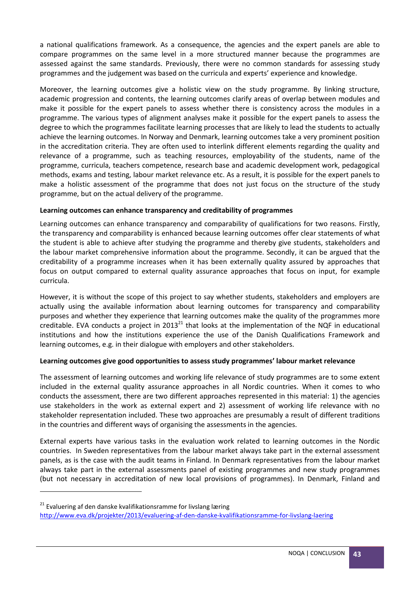a national qualifications framework. As a consequence, the agencies and the expert panels are able to compare programmes on the same level in a more structured manner because the programmes are assessed against the same standards. Previously, there were no common standards for assessing study programmes and the judgement was based on the curricula and experts' experience and knowledge.

Moreover, the learning outcomes give a holistic view on the study programme. By linking structure, academic progression and contents, the learning outcomes clarify areas of overlap between modules and make it possible for the expert panels to assess whether there is consistency across the modules in a programme. The various types of alignment analyses make it possible for the expert panels to assess the degree to which the programmes facilitate learning processes that are likely to lead the students to actually achieve the learning outcomes. In Norway and Denmark, learning outcomes take a very prominent position in the accreditation criteria. They are often used to interlink different elements regarding the quality and relevance of a programme, such as teaching resources, employability of the students, name of the programme, curricula, teachers competence, research base and academic development work, pedagogical methods, exams and testing, labour market relevance etc. As a result, it is possible for the expert panels to make a holistic assessment of the programme that does not just focus on the structure of the study programme, but on the actual delivery of the programme.

#### **Learning outcomes can enhance transparency and creditability of programmes**

Learning outcomes can enhance transparency and comparability of qualifications for two reasons. Firstly, the transparency and comparability is enhanced because learning outcomes offer clear statements of what the student is able to achieve after studying the programme and thereby give students, stakeholders and the labour market comprehensive information about the programme. Secondly, it can be argued that the creditability of a programme increases when it has been externally quality assured by approaches that focus on output compared to external quality assurance approaches that focus on input, for example curricula.

However, it is without the scope of this project to say whether students, stakeholders and employers are actually using the available information about learning outcomes for transparency and comparability purposes and whether they experience that learning outcomes make the quality of the programmes more creditable. EVA conducts a project in 2013<sup>21</sup> that looks at the implementation of the NQF in educational institutions and how the institutions experience the use of the Danish Qualifications Framework and learning outcomes, e.g. in their dialogue with employers and other stakeholders.

#### **Learning outcomes give good opportunities to assess study programmes' labour market relevance**

The assessment of learning outcomes and working life relevance of study programmes are to some extent included in the external quality assurance approaches in all Nordic countries. When it comes to who conducts the assessment, there are two different approaches represented in this material: 1) the agencies use stakeholders in the work as external expert and 2) assessment of working life relevance with no stakeholder representation included. These two approaches are presumably a result of different traditions in the countries and different ways of organising the assessments in the agencies.

External experts have various tasks in the evaluation work related to learning outcomes in the Nordic countries. In Sweden representatives from the labour market always take part in the external assessment panels, as is the case with the audit teams in Finland. In Denmark representatives from the labour market always take part in the external assessments panel of existing programmes and new study programmes (but not necessary in accreditation of new local provisions of programmes). In Denmark, Finland and

**.** 

 $21$  Evaluering af den danske kvalifikationsramme for livslang læring <http://www.eva.dk/projekter/2013/evaluering-af-den-danske-kvalifikationsramme-for-livslang-laering>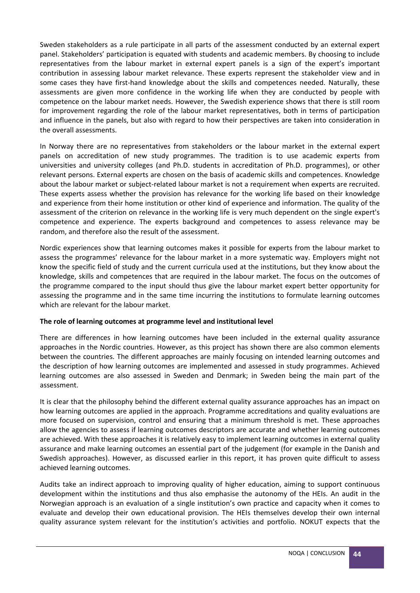Sweden stakeholders as a rule participate in all parts of the assessment conducted by an external expert panel. Stakeholders' participation is equated with students and academic members. By choosing to include representatives from the labour market in external expert panels is a sign of the expert's important contribution in assessing labour market relevance. These experts represent the stakeholder view and in some cases they have first-hand knowledge about the skills and competences needed. Naturally, these assessments are given more confidence in the working life when they are conducted by people with competence on the labour market needs. However, the Swedish experience shows that there is still room for improvement regarding the role of the labour market representatives, both in terms of participation and influence in the panels, but also with regard to how their perspectives are taken into consideration in the overall assessments.

In Norway there are no representatives from stakeholders or the labour market in the external expert panels on accreditation of new study programmes. The tradition is to use academic experts from universities and university colleges (and Ph.D. students in accreditation of Ph.D. programmes), or other relevant persons. External experts are chosen on the basis of academic skills and competences. Knowledge about the labour market or subject-related labour market is not a requirement when experts are recruited. These experts assess whether the provision has relevance for the working life based on their knowledge and experience from their home institution or other kind of experience and information. The quality of the assessment of the criterion on relevance in the working life is very much dependent on the single expert's competence and experience. The experts background and competences to assess relevance may be random, and therefore also the result of the assessment.

Nordic experiences show that learning outcomes makes it possible for experts from the labour market to assess the programmes' relevance for the labour market in a more systematic way. Employers might not know the specific field of study and the current curricula used at the institutions, but they know about the knowledge, skills and competences that are required in the labour market. The focus on the outcomes of the programme compared to the input should thus give the labour market expert better opportunity for assessing the programme and in the same time incurring the institutions to formulate learning outcomes which are relevant for the labour market.

#### **The role of learning outcomes at programme level and institutional level**

There are differences in how learning outcomes have been included in the external quality assurance approaches in the Nordic countries. However, as this project has shown there are also common elements between the countries. The different approaches are mainly focusing on intended learning outcomes and the description of how learning outcomes are implemented and assessed in study programmes. Achieved learning outcomes are also assessed in Sweden and Denmark; in Sweden being the main part of the assessment.

It is clear that the philosophy behind the different external quality assurance approaches has an impact on how learning outcomes are applied in the approach. Programme accreditations and quality evaluations are more focused on supervision, control and ensuring that a minimum threshold is met. These approaches allow the agencies to assess if learning outcomes descriptors are accurate and whether learning outcomes are achieved. With these approaches it is relatively easy to implement learning outcomes in external quality assurance and make learning outcomes an essential part of the judgement (for example in the Danish and Swedish approaches). However, as discussed earlier in this report, it has proven quite difficult to assess achieved learning outcomes.

Audits take an indirect approach to improving quality of higher education, aiming to support continuous development within the institutions and thus also emphasise the autonomy of the HEIs. An audit in the Norwegian approach is an evaluation of a single institution's own practice and capacity when it comes to evaluate and develop their own educational provision. The HEIs themselves develop their own internal quality assurance system relevant for the institution's activities and portfolio. NOKUT expects that the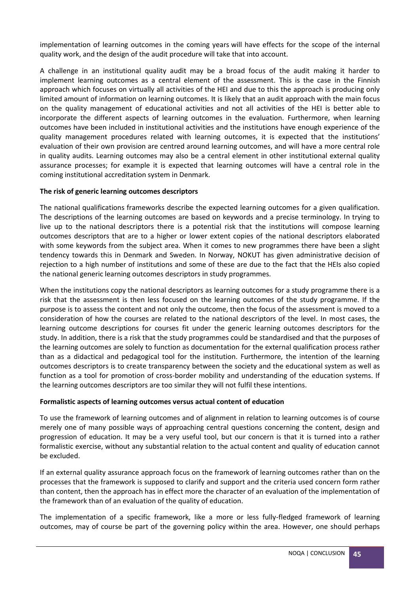implementation of learning outcomes in the coming years will have effects for the scope of the internal quality work, and the design of the audit procedure will take that into account.

A challenge in an institutional quality audit may be a broad focus of the audit making it harder to implement learning outcomes as a central element of the assessment. This is the case in the Finnish approach which focuses on virtually all activities of the HEI and due to this the approach is producing only limited amount of information on learning outcomes. It is likely that an audit approach with the main focus on the quality management of educational activities and not all activities of the HEI is better able to incorporate the different aspects of learning outcomes in the evaluation. Furthermore, when learning outcomes have been included in institutional activities and the institutions have enough experience of the quality management procedures related with learning outcomes, it is expected that the institutions' evaluation of their own provision are centred around learning outcomes, and will have a more central role in quality audits. Learning outcomes may also be a central element in other institutional external quality assurance processes; for example it is expected that learning outcomes will have a central role in the coming institutional accreditation system in Denmark.

#### **The risk of generic learning outcomes descriptors**

The national qualifications frameworks describe the expected learning outcomes for a given qualification. The descriptions of the learning outcomes are based on keywords and a precise terminology. In trying to live up to the national descriptors there is a potential risk that the institutions will compose learning outcomes descriptors that are to a higher or lower extent copies of the national descriptors elaborated with some keywords from the subject area. When it comes to new programmes there have been a slight tendency towards this in Denmark and Sweden. In Norway, NOKUT has given administrative decision of rejection to a high number of institutions and some of these are due to the fact that the HEIs also copied the national generic learning outcomes descriptors in study programmes.

When the institutions copy the national descriptors as learning outcomes for a study programme there is a risk that the assessment is then less focused on the learning outcomes of the study programme. If the purpose is to assess the content and not only the outcome, then the focus of the assessment is moved to a consideration of how the courses are related to the national descriptors of the level. In most cases, the learning outcome descriptions for courses fit under the generic learning outcomes descriptors for the study. In addition, there is a risk that the study programmes could be standardised and that the purposes of the learning outcomes are solely to function as documentation for the external qualification process rather than as a didactical and pedagogical tool for the institution. Furthermore, the intention of the learning outcomes descriptors is to create transparency between the society and the educational system as well as function as a tool for promotion of cross-border mobility and understanding of the education systems. If the learning outcomes descriptors are too similar they will not fulfil these intentions.

#### **Formalistic aspects of learning outcomes versus actual content of education**

To use the framework of learning outcomes and of alignment in relation to learning outcomes is of course merely one of many possible ways of approaching central questions concerning the content, design and progression of education. It may be a very useful tool, but our concern is that it is turned into a rather formalistic exercise, without any substantial relation to the actual content and quality of education cannot be excluded.

If an external quality assurance approach focus on the framework of learning outcomes rather than on the processes that the framework is supposed to clarify and support and the criteria used concern form rather than content, then the approach has in effect more the character of an evaluation of the implementation of the framework than of an evaluation of the quality of education.

The implementation of a specific framework, like a more or less fully-fledged framework of learning outcomes, may of course be part of the governing policy within the area. However, one should perhaps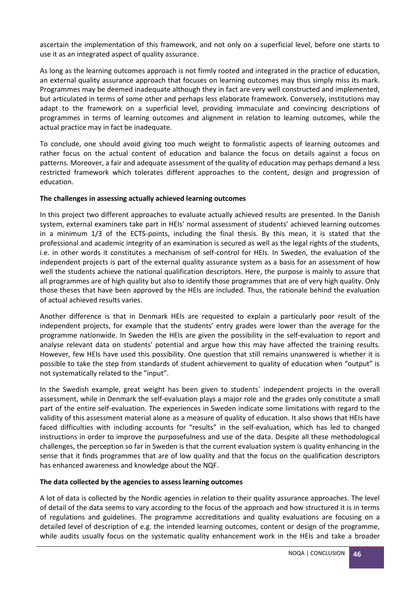ascertain the implementation of this framework, and not only on a superficial level, before one starts to use it as an integrated aspect of quality assurance.

As long as the learning outcomes approach is not firmly rooted and integrated in the practice of education, an external quality assurance approach that focuses on learning outcomes may thus simply miss its mark. Programmes may be deemed inadequate although they in fact are very well constructed and implemented, but articulated in terms of some other and perhaps less elaborate framework. Conversely, institutions may adapt to the framework on a superficial level, providing immaculate and convincing descriptions of programmes in terms of learning outcomes and alignment in relation to learning outcomes, while the actual practice may in fact be inadequate.

To conclude, one should avoid giving too much weight to formalistic aspects of learning outcomes and rather focus on the actual content of education and balance the focus on details against a focus on patterns. Moreover, a fair and adequate assessment of the quality of education may perhaps demand a less restricted framework which tolerates different approaches to the content, design and progression of education.

#### **The challenges in assessing actually achieved learning outcomes**

In this project two different approaches to evaluate actually achieved results are presented. In the Danish system, external examiners take part in HEIs' normal assessment of students' achieved learning outcomes in a minimum 1/3 of the ECTS-points, including the final thesis. By this mean, it is stated that the professional and academic integrity of an examination is secured as well as the legal rights of the students, i.e. in other words it constitutes a mechanism of self-control for HEIs. In Sweden, the evaluation of the independent projects is part of the external quality assurance system as a basis for an assessment of how well the students achieve the national qualification descriptors. Here, the purpose is mainly to assure that all programmes are of high quality but also to identify those programmes that are of very high quality. Only those theses that have been approved by the HEIs are included. Thus, the rationale behind the evaluation of actual achieved results varies.

Another difference is that in Denmark HEIs are requested to explain a particularly poor result of the independent projects, for example that the students' entry grades were lower than the average for the programme nationwide. In Sweden the HEIs are given the possibility in the self-evaluation to report and analyse relevant data on students' potential and argue how this may have affected the training results. However, few HEIs have used this possibility. One question that still remains unanswered is whether it is possible to take the step from standards of student achievement to quality of education when "output" is not systematically related to the "input".

In the Swedish example, great weight has been given to students' independent projects in the overall assessment, while in Denmark the self-evaluation plays a major role and the grades only constitute a small part of the entire self-evaluation. The experiences in Sweden indicate some limitations with regard to the validity of this assessment material alone as a measure of quality of education. It also shows that HEIs have faced difficulties with including accounts for "results" in the self-evaluation, which has led to changed instructions in order to improve the purposefulness and use of the data. Despite all these methodological challenges, the perception so far in Sweden is that the current evaluation system is quality enhancing in the sense that it finds programmes that are of low quality and that the focus on the qualification descriptors has enhanced awareness and knowledge about the NQF.

#### **The data collected by the agencies to assess learning outcomes**

A lot of data is collected by the Nordic agencies in relation to their quality assurance approaches. The level of detail of the data seems to vary according to the focus of the approach and how structured it is in terms of regulations and guidelines. The programme accreditations and quality evaluations are focusing on a detailed level of description of e.g. the intended learning outcomes, content or design of the programme, while audits usually focus on the systematic quality enhancement work in the HEIs and take a broader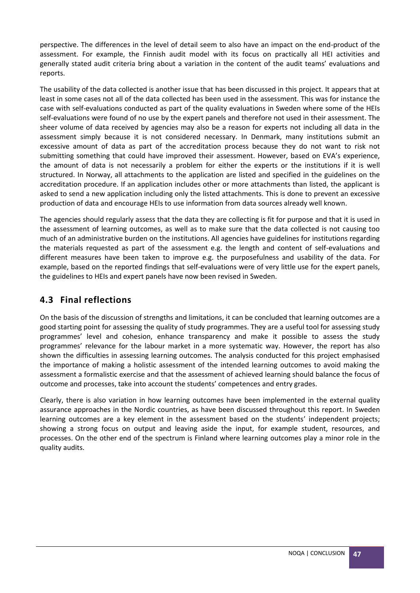perspective. The differences in the level of detail seem to also have an impact on the end-product of the assessment. For example, the Finnish audit model with its focus on practically all HEI activities and generally stated audit criteria bring about a variation in the content of the audit teams' evaluations and reports.

The usability of the data collected is another issue that has been discussed in this project. It appears that at least in some cases not all of the data collected has been used in the assessment. This was for instance the case with self-evaluations conducted as part of the quality evaluations in Sweden where some of the HEIs self-evaluations were found of no use by the expert panels and therefore not used in their assessment. The sheer volume of data received by agencies may also be a reason for experts not including all data in the assessment simply because it is not considered necessary. In Denmark, many institutions submit an excessive amount of data as part of the accreditation process because they do not want to risk not submitting something that could have improved their assessment. However, based on EVA's experience, the amount of data is not necessarily a problem for either the experts or the institutions if it is well structured. In Norway, all attachments to the application are listed and specified in the guidelines on the accreditation procedure. If an application includes other or more attachments than listed, the applicant is asked to send a new application including only the listed attachments. This is done to prevent an excessive production of data and encourage HEIs to use information from data sources already well known.

The agencies should regularly assess that the data they are collecting is fit for purpose and that it is used in the assessment of learning outcomes, as well as to make sure that the data collected is not causing too much of an administrative burden on the institutions. All agencies have guidelines for institutions regarding the materials requested as part of the assessment e.g. the length and content of self-evaluations and different measures have been taken to improve e.g. the purposefulness and usability of the data. For example, based on the reported findings that self-evaluations were of very little use for the expert panels, the guidelines to HEIs and expert panels have now been revised in Sweden.

# <span id="page-46-0"></span>**4.3 Final reflections**

On the basis of the discussion of strengths and limitations, it can be concluded that learning outcomes are a good starting point for assessing the quality of study programmes. They are a useful tool for assessing study programmes' level and cohesion, enhance transparency and make it possible to assess the study programmes' relevance for the labour market in a more systematic way. However, the report has also shown the difficulties in assessing learning outcomes. The analysis conducted for this project emphasised the importance of making a holistic assessment of the intended learning outcomes to avoid making the assessment a formalistic exercise and that the assessment of achieved learning should balance the focus of outcome and processes, take into account the students' competences and entry grades.

Clearly, there is also variation in how learning outcomes have been implemented in the external quality assurance approaches in the Nordic countries, as have been discussed throughout this report. In Sweden learning outcomes are a key element in the assessment based on the students' independent projects; showing a strong focus on output and leaving aside the input, for example student, resources, and processes. On the other end of the spectrum is Finland where learning outcomes play a minor role in the quality audits.